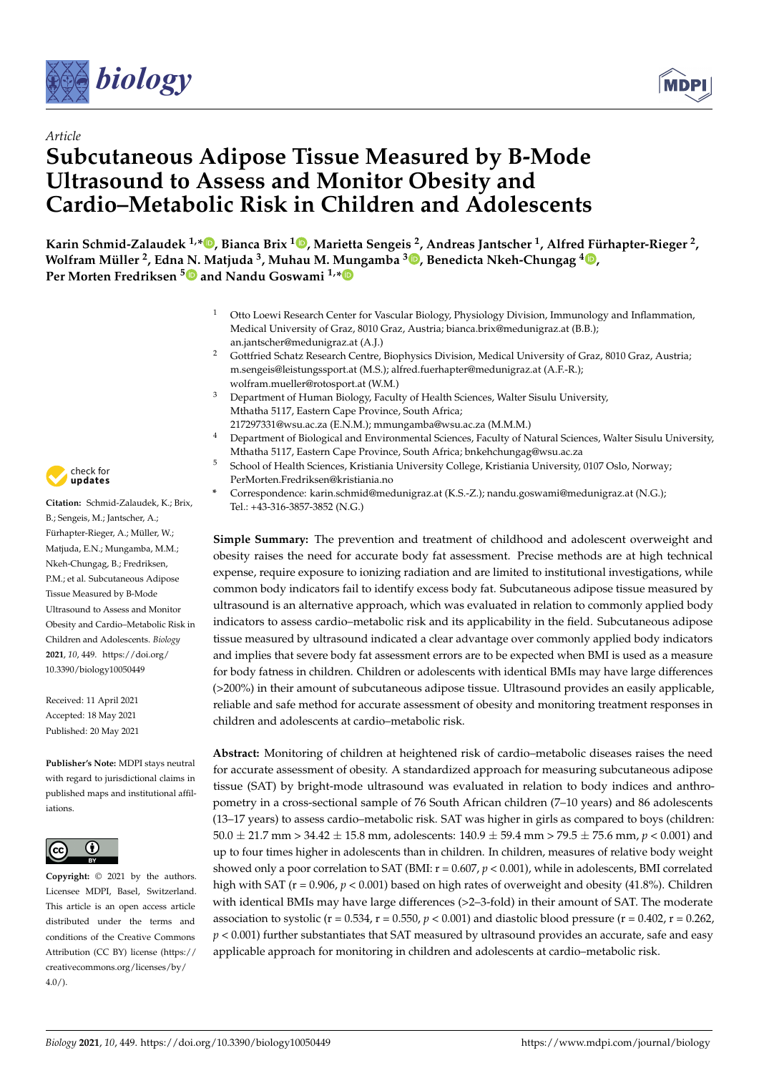



# *Article* **Subcutaneous Adipose Tissue Measured by B-Mode Ultrasound to Assess and Monitor Obesity and Cardio–Metabolic Risk in Children and Adolescents**

**Karin Schmid-Zalaudek 1,\* [,](https://orcid.org/0000-0002-3422-0031) Bianca Brix <sup>1</sup> [,](https://orcid.org/0000-0002-7308-5450) Marietta Sengeis <sup>2</sup> , Andreas Jantscher <sup>1</sup> , Alfred Fürhapter-Rieger <sup>2</sup> , Wolfram Müller <sup>2</sup> , Edna [N.](https://orcid.org/0000-0001-7450-2925) Matjuda <sup>3</sup> , Muhau M. Mungamba <sup>3</sup> [,](https://orcid.org/0000-0003-3676-6924) Benedicta Nkeh-Chungag <sup>4</sup> [,](https://orcid.org/0000-0003-4805-4051) Per Morten Fredriksen <sup>5</sup> and Nandu Goswami 1,[\\*](https://orcid.org/0000-0002-6704-0723)**

- <sup>1</sup> Otto Loewi Research Center for Vascular Biology, Physiology Division, Immunology and Inflammation, Medical University of Graz, 8010 Graz, Austria; bianca.brix@medunigraz.at (B.B.); an.jantscher@medunigraz.at (A.J.)
- <sup>2</sup> Gottfried Schatz Research Centre, Biophysics Division, Medical University of Graz, 8010 Graz, Austria; m.sengeis@leistungssport.at (M.S.); alfred.fuerhapter@medunigraz.at (A.F.-R.); wolfram.mueller@rotosport.at (W.M.)
- <sup>3</sup> Department of Human Biology, Faculty of Health Sciences, Walter Sisulu University, Mthatha 5117, Eastern Cape Province, South Africa;
- 217297331@wsu.ac.za (E.N.M.); mmungamba@wsu.ac.za (M.M.M.)
- Department of Biological and Environmental Sciences, Faculty of Natural Sciences, Walter Sisulu University, Mthatha 5117, Eastern Cape Province, South Africa; bnkehchungag@wsu.ac.za
- <sup>5</sup> School of Health Sciences, Kristiania University College, Kristiania University, 0107 Oslo, Norway; PerMorten.Fredriksen@kristiania.no
- **\*** Correspondence: karin.schmid@medunigraz.at (K.S.-Z.); nandu.goswami@medunigraz.at (N.G.); Tel.: +43-316-3857-3852 (N.G.)

**Simple Summary:** The prevention and treatment of childhood and adolescent overweight and obesity raises the need for accurate body fat assessment. Precise methods are at high technical expense, require exposure to ionizing radiation and are limited to institutional investigations, while common body indicators fail to identify excess body fat. Subcutaneous adipose tissue measured by ultrasound is an alternative approach, which was evaluated in relation to commonly applied body indicators to assess cardio–metabolic risk and its applicability in the field. Subcutaneous adipose tissue measured by ultrasound indicated a clear advantage over commonly applied body indicators and implies that severe body fat assessment errors are to be expected when BMI is used as a measure for body fatness in children. Children or adolescents with identical BMIs may have large differences (>200%) in their amount of subcutaneous adipose tissue. Ultrasound provides an easily applicable, reliable and safe method for accurate assessment of obesity and monitoring treatment responses in children and adolescents at cardio–metabolic risk.

**Abstract:** Monitoring of children at heightened risk of cardio–metabolic diseases raises the need for accurate assessment of obesity. A standardized approach for measuring subcutaneous adipose tissue (SAT) by bright-mode ultrasound was evaluated in relation to body indices and anthropometry in a cross-sectional sample of 76 South African children (7–10 years) and 86 adolescents (13–17 years) to assess cardio–metabolic risk. SAT was higher in girls as compared to boys (children:  $50.0 \pm 21.7$  mm  $> 34.42 \pm 15.8$  mm, adolescents:  $140.9 \pm 59.4$  mm  $> 79.5 \pm 75.6$  mm,  $p < 0.001$ ) and up to four times higher in adolescents than in children. In children, measures of relative body weight showed only a poor correlation to SAT (BMI: r = 0.607, *p* < 0.001), while in adolescents, BMI correlated high with SAT ( $r = 0.906$ ,  $p < 0.001$ ) based on high rates of overweight and obesity (41.8%). Children with identical BMIs may have large differences (>2-3-fold) in their amount of SAT. The moderate association to systolic ( $r = 0.534$ ,  $r = 0.550$ ,  $p < 0.001$ ) and diastolic blood pressure ( $r = 0.402$ ,  $r = 0.262$ ,  $p < 0.001$ ) further substantiates that SAT measured by ultrasound provides an accurate, safe and easy applicable approach for monitoring in children and adolescents at cardio–metabolic risk.



**Citation:** Schmid-Zalaudek, K.; Brix, B.; Sengeis, M.; Jantscher, A.; Fürhapter-Rieger, A.; Müller, W.; Matjuda, E.N.; Mungamba, M.M.; Nkeh-Chungag, B.; Fredriksen, P.M.; et al. Subcutaneous Adipose Tissue Measured by B-Mode Ultrasound to Assess and Monitor Obesity and Cardio–Metabolic Risk in Children and Adolescents. *Biology* **2021**, *10*, 449. [https://doi.org/](https://doi.org/10.3390/biology10050449) [10.3390/biology10050449](https://doi.org/10.3390/biology10050449)

Received: 11 April 2021 Accepted: 18 May 2021 Published: 20 May 2021

**Publisher's Note:** MDPI stays neutral with regard to jurisdictional claims in published maps and institutional affiliations.



**Copyright:** © 2021 by the authors. Licensee MDPI, Basel, Switzerland. This article is an open access article distributed under the terms and conditions of the Creative Commons Attribution (CC BY) license (https:/[/](https://creativecommons.org/licenses/by/4.0/) [creativecommons.org/licenses/by/](https://creativecommons.org/licenses/by/4.0/)  $4.0/$ ).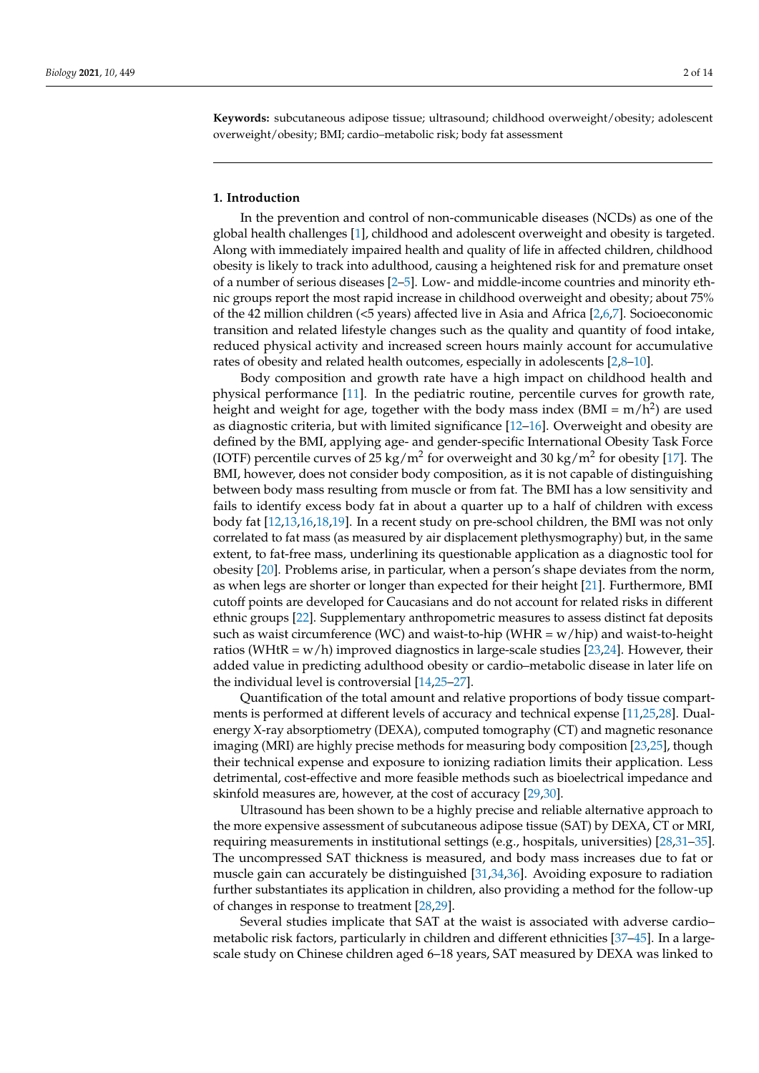**Keywords:** subcutaneous adipose tissue; ultrasound; childhood overweight/obesity; adolescent overweight/obesity; BMI; cardio–metabolic risk; body fat assessment

## **1. Introduction**

In the prevention and control of non-communicable diseases (NCDs) as one of the global health challenges [\[1\]](#page-11-0), childhood and adolescent overweight and obesity is targeted. Along with immediately impaired health and quality of life in affected children, childhood obesity is likely to track into adulthood, causing a heightened risk for and premature onset of a number of serious diseases [\[2](#page-11-1)[–5\]](#page-11-2). Low- and middle-income countries and minority ethnic groups report the most rapid increase in childhood overweight and obesity; about 75% of the 42 million children (<5 years) affected live in Asia and Africa [\[2,](#page-11-1)[6,](#page-11-3)[7\]](#page-11-4). Socioeconomic transition and related lifestyle changes such as the quality and quantity of food intake, reduced physical activity and increased screen hours mainly account for accumulative rates of obesity and related health outcomes, especially in adolescents [\[2](#page-11-1)[,8](#page-11-5)[–10\]](#page-11-6).

Body composition and growth rate have a high impact on childhood health and physical performance [\[11\]](#page-11-7). In the pediatric routine, percentile curves for growth rate, height and weight for age, together with the body mass index (BMI = m/h<sup>2</sup>) are used as diagnostic criteria, but with limited significance [\[12–](#page-11-8)[16\]](#page-12-0). Overweight and obesity are defined by the BMI, applying age- and gender-specific International Obesity Task Force (IOTF) percentile curves of 25 kg/m<sup>2</sup> for overweight and 30 kg/m<sup>2</sup> for obesity [\[17\]](#page-12-1). The BMI, however, does not consider body composition, as it is not capable of distinguishing between body mass resulting from muscle or from fat. The BMI has a low sensitivity and fails to identify excess body fat in about a quarter up to a half of children with excess body fat [\[12,](#page-11-8)[13,](#page-12-2)[16,](#page-12-0)[18,](#page-12-3)[19\]](#page-12-4). In a recent study on pre-school children, the BMI was not only correlated to fat mass (as measured by air displacement plethysmography) but, in the same extent, to fat-free mass, underlining its questionable application as a diagnostic tool for obesity [\[20\]](#page-12-5). Problems arise, in particular, when a person's shape deviates from the norm, as when legs are shorter or longer than expected for their height [\[21\]](#page-12-6). Furthermore, BMI cutoff points are developed for Caucasians and do not account for related risks in different ethnic groups [\[22\]](#page-12-7). Supplementary anthropometric measures to assess distinct fat deposits such as waist circumference (WC) and waist-to-hip (WHR =  $w/hip$ ) and waist-to-height ratios (WHtR =  $w/h$ ) improved diagnostics in large-scale studies [\[23](#page-12-8)[,24\]](#page-12-9). However, their added value in predicting adulthood obesity or cardio–metabolic disease in later life on the individual level is controversial [\[14,](#page-12-10)[25–](#page-12-11)[27\]](#page-12-12).

Quantification of the total amount and relative proportions of body tissue compartments is performed at different levels of accuracy and technical expense [\[11](#page-11-7)[,25](#page-12-11)[,28\]](#page-12-13). Dualenergy X-ray absorptiometry (DEXA), computed tomography (CT) and magnetic resonance imaging (MRI) are highly precise methods for measuring body composition [\[23,](#page-12-8)[25\]](#page-12-11), though their technical expense and exposure to ionizing radiation limits their application. Less detrimental, cost-effective and more feasible methods such as bioelectrical impedance and skinfold measures are, however, at the cost of accuracy [\[29](#page-12-14)[,30\]](#page-12-15).

Ultrasound has been shown to be a highly precise and reliable alternative approach to the more expensive assessment of subcutaneous adipose tissue (SAT) by DEXA, CT or MRI, requiring measurements in institutional settings (e.g., hospitals, universities) [\[28,](#page-12-13)[31](#page-12-16)[–35\]](#page-12-17). The uncompressed SAT thickness is measured, and body mass increases due to fat or muscle gain can accurately be distinguished [\[31](#page-12-16)[,34](#page-12-18)[,36\]](#page-12-19). Avoiding exposure to radiation further substantiates its application in children, also providing a method for the follow-up of changes in response to treatment [\[28](#page-12-13)[,29\]](#page-12-14).

Several studies implicate that SAT at the waist is associated with adverse cardio– metabolic risk factors, particularly in children and different ethnicities [\[37](#page-13-0)[–45\]](#page-13-1). In a largescale study on Chinese children aged 6–18 years, SAT measured by DEXA was linked to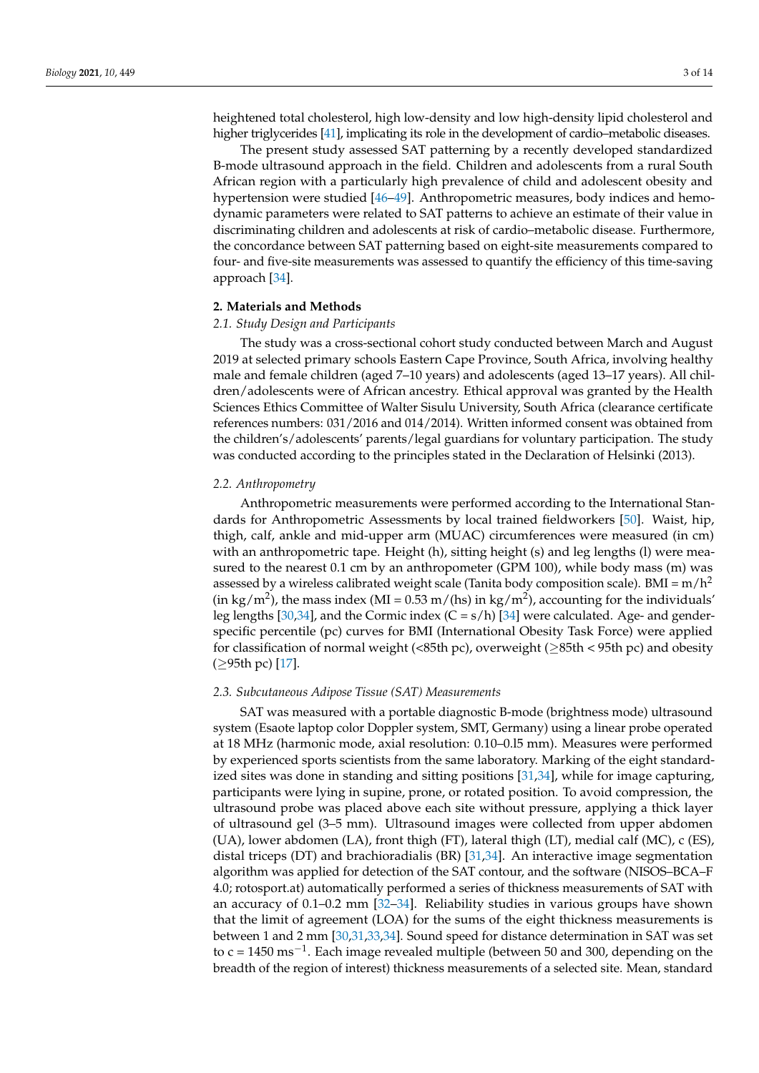heightened total cholesterol, high low-density and low high-density lipid cholesterol and higher triglycerides [\[41\]](#page-13-2), implicating its role in the development of cardio–metabolic diseases.

The present study assessed SAT patterning by a recently developed standardized B-mode ultrasound approach in the field. Children and adolescents from a rural South African region with a particularly high prevalence of child and adolescent obesity and hypertension were studied [\[46](#page-13-3)[–49\]](#page-13-4). Anthropometric measures, body indices and hemodynamic parameters were related to SAT patterns to achieve an estimate of their value in discriminating children and adolescents at risk of cardio–metabolic disease. Furthermore, the concordance between SAT patterning based on eight-site measurements compared to four- and five-site measurements was assessed to quantify the efficiency of this time-saving approach [\[34\]](#page-12-18).

## **2. Materials and Methods**

# *2.1. Study Design and Participants*

The study was a cross-sectional cohort study conducted between March and August 2019 at selected primary schools Eastern Cape Province, South Africa, involving healthy male and female children (aged 7–10 years) and adolescents (aged 13–17 years). All children/adolescents were of African ancestry. Ethical approval was granted by the Health Sciences Ethics Committee of Walter Sisulu University, South Africa (clearance certificate references numbers: 031/2016 and 014/2014). Written informed consent was obtained from the children's/adolescents' parents/legal guardians for voluntary participation. The study was conducted according to the principles stated in the Declaration of Helsinki (2013).

# *2.2. Anthropometry*

Anthropometric measurements were performed according to the International Standards for Anthropometric Assessments by local trained fieldworkers [\[50\]](#page-13-5). Waist, hip, thigh, calf, ankle and mid-upper arm (MUAC) circumferences were measured (in cm) with an anthropometric tape. Height (h), sitting height (s) and leg lengths (l) were measured to the nearest 0.1 cm by an anthropometer (GPM 100), while body mass (m) was assessed by a wireless calibrated weight scale (Tanita body composition scale). BMI =  $m/h^2$ (in kg/m<sup>2</sup>), the mass index (MI =  $0.53$  m/(hs) in kg/m<sup>2</sup>), accounting for the individuals' leg lengths [\[30,](#page-12-15)[34\]](#page-12-18), and the Cormic index  $(C = s/h)$  [\[34\]](#page-12-18) were calculated. Age- and genderspecific percentile (pc) curves for BMI (International Obesity Task Force) were applied for classification of normal weight (<85th pc), overweight ( $\geq$ 85th <br/> < 95th pc) and obesity (≥95th pc) [\[17\]](#page-12-1).

## *2.3. Subcutaneous Adipose Tissue (SAT) Measurements*

SAT was measured with a portable diagnostic B-mode (brightness mode) ultrasound system (Esaote laptop color Doppler system, SMT, Germany) using a linear probe operated at 18 MHz (harmonic mode, axial resolution: 0.10–0.l5 mm). Measures were performed by experienced sports scientists from the same laboratory. Marking of the eight standardized sites was done in standing and sitting positions [\[31](#page-12-16)[,34\]](#page-12-18), while for image capturing, participants were lying in supine, prone, or rotated position. To avoid compression, the ultrasound probe was placed above each site without pressure, applying a thick layer of ultrasound gel (3–5 mm). Ultrasound images were collected from upper abdomen (UA), lower abdomen (LA), front thigh (FT), lateral thigh (LT), medial calf (MC), c (ES), distal triceps (DT) and brachioradialis (BR) [\[31,](#page-12-16)[34\]](#page-12-18). An interactive image segmentation algorithm was applied for detection of the SAT contour, and the software (NISOS–BCA–F 4.0; rotosport.at) automatically performed a series of thickness measurements of SAT with an accuracy of 0.1–0.2 mm [\[32](#page-12-20)[–34\]](#page-12-18). Reliability studies in various groups have shown that the limit of agreement (LOA) for the sums of the eight thickness measurements is between 1 and 2 mm [\[30](#page-12-15)[,31](#page-12-16)[,33,](#page-12-21)[34\]](#page-12-18). Sound speed for distance determination in SAT was set to  $c = 1450 \text{ ms}^{-1}$ . Each image revealed multiple (between 50 and 300, depending on the breadth of the region of interest) thickness measurements of a selected site. Mean, standard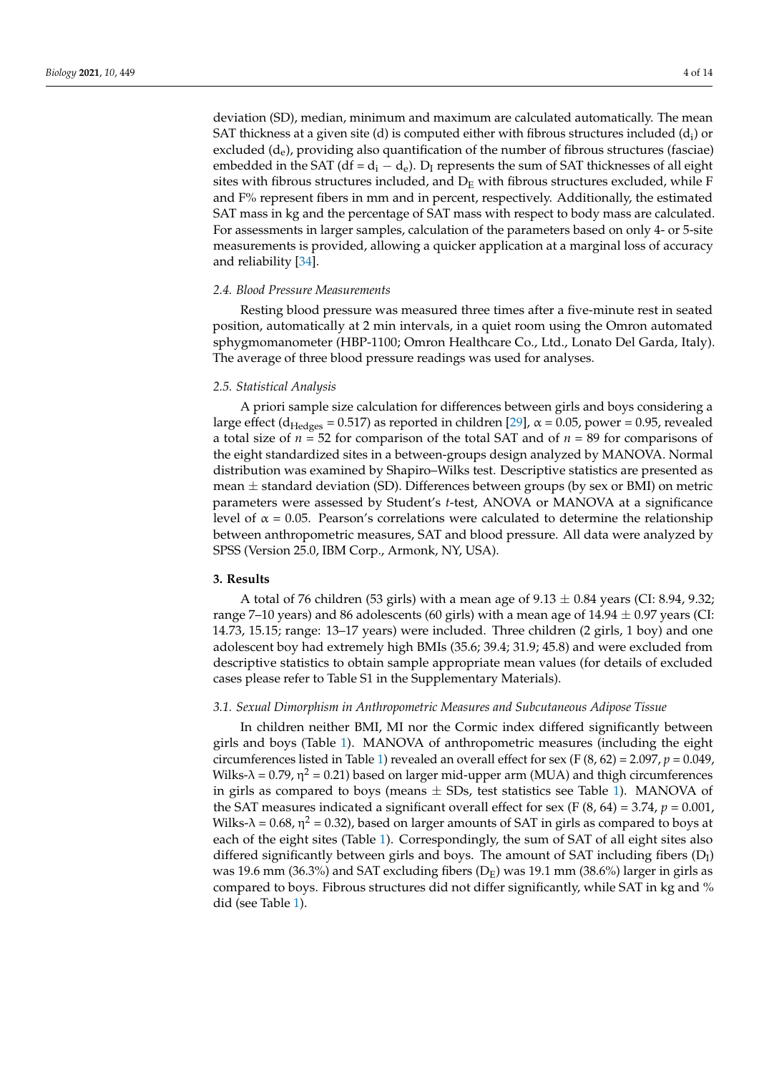deviation (SD), median, minimum and maximum are calculated automatically. The mean SAT thickness at a given site (d) is computed either with fibrous structures included (d<sub>i</sub>) or excluded  $(d_e)$ , providing also quantification of the number of fibrous structures (fasciae) embedded in the SAT (df =  $d_i - d_e$ ). D<sub>I</sub> represents the sum of SAT thicknesses of all eight sites with fibrous structures included, and  $D_E$  with fibrous structures excluded, while F and F% represent fibers in mm and in percent, respectively. Additionally, the estimated SAT mass in kg and the percentage of SAT mass with respect to body mass are calculated. For assessments in larger samples, calculation of the parameters based on only 4- or 5-site measurements is provided, allowing a quicker application at a marginal loss of accuracy and reliability [\[34\]](#page-12-18).

# *2.4. Blood Pressure Measurements*

Resting blood pressure was measured three times after a five-minute rest in seated position, automatically at 2 min intervals, in a quiet room using the Omron automated sphygmomanometer (HBP-1100; Omron Healthcare Co., Ltd., Lonato Del Garda, Italy). The average of three blood pressure readings was used for analyses.

# *2.5. Statistical Analysis*

A priori sample size calculation for differences between girls and boys considering a large effect (d<sub>Hedges</sub> = 0.517) as reported in children [\[29\]](#page-12-14),  $\alpha$  = 0.05, power = 0.95, revealed a total size of *n* = 52 for comparison of the total SAT and of *n* = 89 for comparisons of the eight standardized sites in a between-groups design analyzed by MANOVA. Normal distribution was examined by Shapiro–Wilks test. Descriptive statistics are presented as mean  $\pm$  standard deviation (SD). Differences between groups (by sex or BMI) on metric parameters were assessed by Student's *t*-test, ANOVA or MANOVA at a significance level of  $\alpha = 0.05$ . Pearson's correlations were calculated to determine the relationship between anthropometric measures, SAT and blood pressure. All data were analyzed by SPSS (Version 25.0, IBM Corp., Armonk, NY, USA).

# **3. Results**

A total of 76 children (53 girls) with a mean age of  $9.13 \pm 0.84$  years (CI: 8.94, 9.32; range 7–10 years) and 86 adolescents (60 girls) with a mean age of  $14.94 \pm 0.97$  years (CI: 14.73, 15.15; range: 13–17 years) were included. Three children (2 girls, 1 boy) and one adolescent boy had extremely high BMIs (35.6; 39.4; 31.9; 45.8) and were excluded from descriptive statistics to obtain sample appropriate mean values (for details of excluded cases please refer to Table S1 in the Supplementary Materials).

# *3.1. Sexual Dimorphism in Anthropometric Measures and Subcutaneous Adipose Tissue*

In children neither BMI, MI nor the Cormic index differed significantly between girls and boys (Table [1\)](#page-4-0). MANOVA of anthropometric measures (including the eight circumferences listed in Table [1\)](#page-4-0) revealed an overall effect for sex (F  $(8, 62) = 2.097$ ,  $p = 0.049$ , Wilks-λ = 0.79, η<sup>2</sup> = 0.21) based on larger mid-upper arm (MUA) and thigh circumferences in girls as compared to boys (means  $\pm$  SDs, test statistics see Table [1\)](#page-4-0). MANOVA of the SAT measures indicated a significant overall effect for sex (F  $(8, 64) = 3.74$ ,  $p = 0.001$ , Wilks-λ = 0.68, η<sup>2</sup> = 0.32), based on larger amounts of SAT in girls as compared to boys at each of the eight sites (Table [1\)](#page-4-0). Correspondingly, the sum of SAT of all eight sites also differed significantly between girls and boys. The amount of SAT including fibers  $(D_I)$ was 19.6 mm (36.3%) and SAT excluding fibers  $(D_F)$  was 19.1 mm (38.6%) larger in girls as compared to boys. Fibrous structures did not differ significantly, while SAT in kg and % did (see Table [1\)](#page-4-0).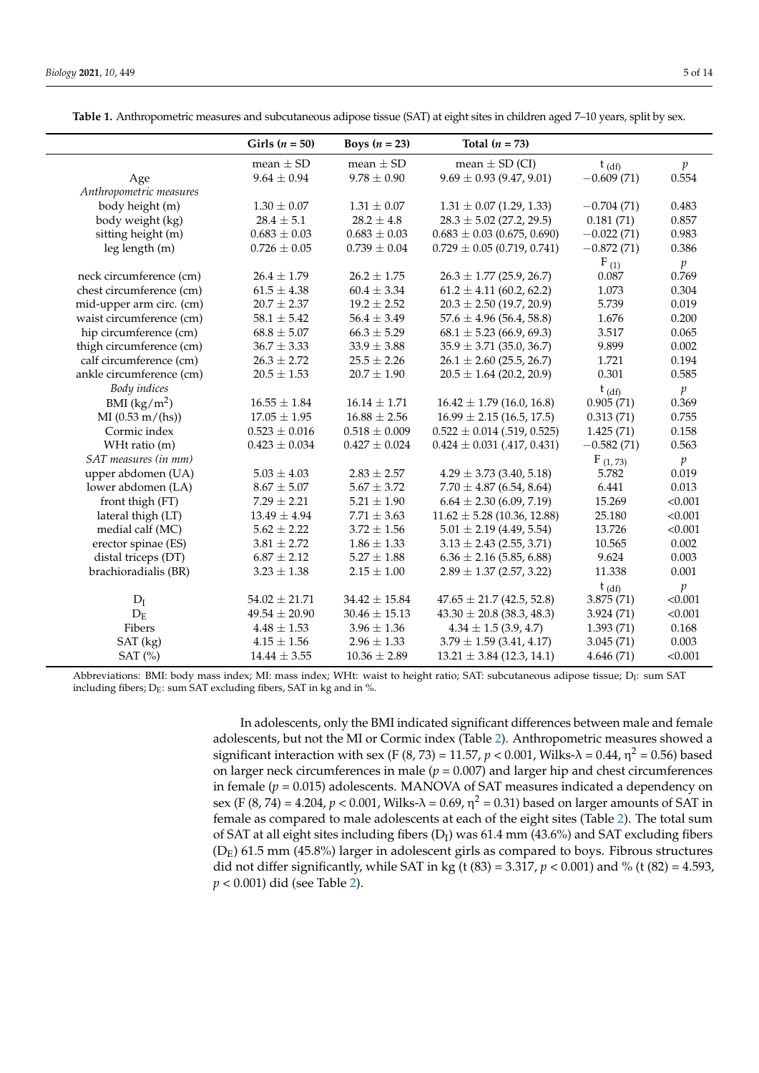BMI  $(kg/m^2)$ 

|                          | Girls $(n = 50)$ | Boys $(n = 23)$  | Total $(n = 73)$                |              |                |
|--------------------------|------------------|------------------|---------------------------------|--------------|----------------|
|                          | mean $\pm$ SD    | mean $\pm$ SD    | mean $\pm$ SD (CI)              | $t_{(df)}$   | p              |
| Age                      | $9.64 \pm 0.94$  | $9.78 \pm 0.90$  | $9.69 \pm 0.93$ (9.47, 9.01)    | $-0.609(71)$ | 0.554          |
| Anthropometric measures  |                  |                  |                                 |              |                |
| body height (m)          | $1.30 \pm 0.07$  | $1.31 \pm 0.07$  | $1.31 \pm 0.07$ (1.29, 1.33)    | $-0.704(71)$ | 0.483          |
| body weight (kg)         | $28.4 \pm 5.1$   | $28.2 \pm 4.8$   | $28.3 \pm 5.02$ (27.2, 29.5)    | 0.181(71)    | 0.857          |
| sitting height (m)       | $0.683 \pm 0.03$ | $0.683 \pm 0.03$ | $0.683 \pm 0.03$ (0.675, 0.690) | $-0.022(71)$ | 0.983          |
| leg length(m)            | $0.726 \pm 0.05$ | $0.739 \pm 0.04$ | $0.729 \pm 0.05$ (0.719, 0.741) | $-0.872(71)$ | 0.386          |
|                          |                  |                  |                                 | $F_{(1)}$    | $\mathfrak{p}$ |
| neck circumference (cm)  | $26.4 \pm 1.79$  | $26.2 \pm 1.75$  | $26.3 \pm 1.77$ (25.9, 26.7)    | 0.087        | 0.769          |
| chest circumference (cm) | $61.5 \pm 4.38$  | $60.4 \pm 3.34$  | $61.2 \pm 4.11$ (60.2, 62.2)    | 1.073        | 0.304          |
| mid-upper arm circ. (cm) | $20.7 \pm 2.37$  | $19.2 \pm 2.52$  | $20.3 \pm 2.50$ (19.7, 20.9)    | 5.739        | 0.019          |
| waist circumference (cm) | $58.1 \pm 5.42$  | $56.4 \pm 3.49$  | $57.6 \pm 4.96$ (56.4, 58.8)    | 1.676        | 0.200          |
| hip circumference (cm)   | $68.8 \pm 5.07$  | $66.3 \pm 5.29$  | $68.1 \pm 5.23$ (66.9, 69.3)    | 3.517        | 0.065          |
| thigh circumference (cm) | $36.7 \pm 3.33$  | $33.9 \pm 3.88$  | $35.9 \pm 3.71$ (35.0, 36.7)    | 9.899        | 0.002          |

 $16.55 \pm 1.84$   $16.14 \pm 1.71$   $16.42 \pm 1.79$  (16.0, 16.8) 0.905 (71) 0.369

 $4.29 \pm 3.73$  (3.40, 5.18) 5.782

 $t$  (df)  $p$ <br>3.875 (71) <0.001

<span id="page-4-0"></span>Table 1. Anthropometric measures and subcutaneous adipose tissue (SAT) at eight sites in child

calf circumference (cm)  $26.3 \pm 2.72$   $25.5 \pm 2.26$   $26.1 \pm 2.60$  (25.5, 26.7) 1.721 0.194 ankle circumference (cm)  $20.5 \pm 1.53$   $20.7 \pm 1.90$   $20.5 \pm 1.64$  (20.2, 20.9) 0.301 0.585 *Body indices* t (df) *p*

MI (0.53 m/(hs)) 17.05  $\pm$  1.95 16.88  $\pm$  2.56 16.99  $\pm$  2.15 (16.5, 17.5) 0.313 (71) 0.755 Cormic index  $0.523 \pm 0.016$   $0.518 \pm 0.009$   $0.522 \pm 0.014$  (.519, 0.525) 1.425 (71) 0.158 WHt ratio (m)  $0.423 \pm 0.034$   $0.427 \pm 0.024$   $0.424 \pm 0.031$   $(.417, 0.431)$   $-0.582$  (71)  $0.563$ *SAT measures (in mm)*<br> **F** (1, 73) *p*<br> **upper abdomen (UA)** 5.03 ± 4.03 2.83 ± 2.57 4.29 ± 3.73 (3.40, 5.18) 5.782 0.019

lower abdomen (LA)  $8.67 \pm 5.07$   $5.67 \pm 3.72$   $7.70 \pm 4.87$  (6.54, 8.64)  $6.441$  0.013 front thigh (FT)  $7.29 \pm 2.21$   $5.21 \pm 1.90$   $6.64 \pm 2.30$   $(6.09, 7.19)$   $15.269$  <0.001<br>
lateral thigh (LT)  $13.49 \pm 4.94$   $7.71 \pm 3.63$   $11.62 \pm 5.28$   $(10.36, 12.88)$   $25.180$  <0.001 lateral thigh (LT)  $13.49 \pm 4.94$   $7.71 \pm 3.63$   $11.62 \pm 5.28$  (10.36, 12.88)  $25.180$  <0.001 medial calf (MC)  $5.62 \pm 2.22$   $3.72 \pm 1.56$   $5.01 \pm 2.19$   $(4.49, 5.54)$   $13.726$   $< 0.001$ erector spinae (ES)  $3.81 \pm 2.72$   $1.86 \pm 1.33$   $3.13 \pm 2.43$  (2.55, 3.71)  $10.565$  0.002 distal triceps (DT)  $6.87 \pm 2.12$   $5.27 \pm 1.88$   $6.36 \pm 2.16$  (5.85, 6.88)  $9.624$  0.003 brachioradialis (BR)  $3.23 \pm 1.38$   $2.15 \pm 1.00$   $2.89 \pm 1.37$  (2.57, 3.22) 11.338 0.001

| SAT (kg)                                                                                                                                    | $4.15 \pm 1.56$ | $2.96 \pm 1.33$ | $3.79 \pm 1.59$ (3.41, 4.17)  | 3.045(71) | 0.003   |  |  |
|---------------------------------------------------------------------------------------------------------------------------------------------|-----------------|-----------------|-------------------------------|-----------|---------|--|--|
| SAT (%)                                                                                                                                     | $14.44 + 3.55$  | $10.36 + 2.89$  | $13.21 \pm 3.84$ (12.3, 14.1) | 4.646(71) | < 0.001 |  |  |
| Abbreviations: BMI: body mass index; MI: mass index; WHt: waist to height ratio; SAT: subcutaneous adipose tissue; D <sub>I</sub> : sum SAT |                 |                 |                               |           |         |  |  |
| including fibers; $D_E$ : sum SAT excluding fibers, SAT in kg and in %.                                                                     |                 |                 |                               |           |         |  |  |

 $D_E$  49.54  $\pm$  20.90 30.46  $\pm$  15.13 43.30  $\pm$  20.8 (38.3, 48.3) 3.924 (71) <0.001<br>
ibers 4.48  $\pm$  1.53 3.96  $\pm$  1.36 4.34  $\pm$  1.5 (3.9, 4.7) 1.393 (71) 0.168 Fibers 4.48  $\pm$  1.53 3.96  $\pm$  1.36 4.34  $\pm$  1.5 (3.9, 4.7) 1.393 (71) 0.168

 $D_I$  54.02  $\pm$  21.71 34.42  $\pm$  15.84 47.65  $\pm$  21.7 (42.5, 52.8)

In adolescents, only the BMI indicated significant differences between male and female adolescents, but not the MI or Cormic index (Table [2\)](#page-5-0). Anthropometric measures showed a significant interaction with sex (F (8, 73) = 11.57,  $p < 0.001$ , Wilks- $\lambda$  = 0.44,  $\eta^2$  = 0.56) based on larger neck circumferences in male  $(p = 0.007)$  and larger hip and chest circumferences in female  $(p = 0.015)$  adolescents. MANOVA of SAT measures indicated a dependency on sex (F (8, 74) = 4.204, *p* < 0.001, Wilks-λ = 0.69, η<sup>2</sup> = 0.31) based on larger amounts of SAT in female as compared to male adolescents at each of the eight sites (Table [2\)](#page-5-0). The total sum of SAT at all eight sites including fibers (D<sub>I</sub>) was 61.4 mm (43.6%) and SAT excluding fibers  $(D<sub>E</sub>)$  61.5 mm (45.8%) larger in adolescent girls as compared to boys. Fibrous structures did not differ significantly, while SAT in kg (t  $(83) = 3.317$ ,  $p < 0.001$ ) and % (t  $(82) = 4.593$ , *p* < 0.001) did (see Table [2\)](#page-5-0).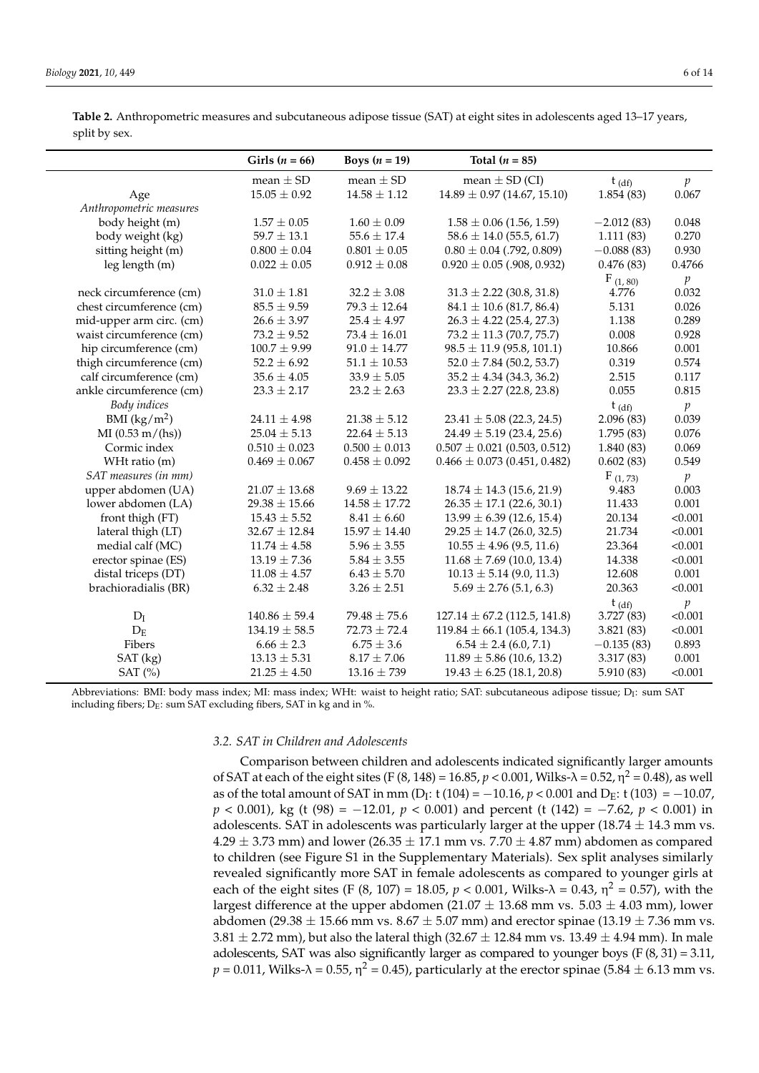<span id="page-5-0"></span>

| Table 2. Anthropometric measures and subcutaneous adipose tissue (SAT) at eight sites in adolescents aged 13–17 years, |  |  |
|------------------------------------------------------------------------------------------------------------------------|--|--|
| split by sex.                                                                                                          |  |  |

|                          | Girls $(n = 66)$  | Boys $(n = 19)$   | Total $(n = 85)$                 |              |                 |
|--------------------------|-------------------|-------------------|----------------------------------|--------------|-----------------|
|                          | mean $\pm$ SD     | mean $\pm$ SD     | mean $\pm$ SD (CI)               | $t_{(df)}$   | $p_{\parallel}$ |
| Age                      | $15.05 \pm 0.92$  | $14.58 \pm 1.12$  | $14.89 \pm 0.97$ (14.67, 15.10)  | 1.854(83)    | 0.067           |
| Anthropometric measures  |                   |                   |                                  |              |                 |
| body height (m)          | $1.57 \pm 0.05$   | $1.60 \pm 0.09$   | $1.58 \pm 0.06$ (1.56, 1.59)     | $-2.012(83)$ | 0.048           |
| body weight (kg)         | $59.7 \pm 13.1$   | $55.6 \pm 17.4$   | $58.6 \pm 14.0$ (55.5, 61.7)     | 1.111(83)    | 0.270           |
| sitting height (m)       | $0.800 \pm 0.04$  | $0.801 \pm 0.05$  | $0.80 \pm 0.04$ (.792, 0.809)    | $-0.088(83)$ | 0.930           |
| leg length (m)           | $0.022 \pm 0.05$  | $0.912 \pm 0.08$  | $0.920 \pm 0.05$ (.908, 0.932)   | 0.476(83)    | 0.4766          |
|                          |                   |                   |                                  | F(1, 80)     | p               |
| neck circumference (cm)  | $31.0 \pm 1.81$   | $32.2 \pm 3.08$   | $31.3 \pm 2.22$ (30.8, 31.8)     | 4.776        | 0.032           |
| chest circumference (cm) | $85.5 \pm 9.59$   | $79.3 \pm 12.64$  | $84.1 \pm 10.6$ (81.7, 86.4)     | 5.131        | 0.026           |
| mid-upper arm circ. (cm) | $26.6 \pm 3.97$   | $25.4 \pm 4.97$   | $26.3 \pm 4.22$ (25.4, 27.3)     | 1.138        | 0.289           |
| waist circumference (cm) | $73.2 \pm 9.52$   | $73.4 \pm 16.01$  | $73.2 \pm 11.3$ (70.7, 75.7)     | 0.008        | 0.928           |
| hip circumference (cm)   | $100.7 \pm 9.99$  | $91.0 \pm 14.77$  | $98.5 \pm 11.9$ (95.8, 101.1)    | 10.866       | 0.001           |
| thigh circumference (cm) | $52.2 \pm 6.92$   | $51.1 \pm 10.53$  | $52.0 \pm 7.84$ (50.2, 53.7)     | 0.319        | 0.574           |
| calf circumference (cm)  | $35.6 \pm 4.05$   | $33.9 \pm 5.05$   | $35.2 \pm 4.34$ (34.3, 36.2)     | 2.515        | 0.117           |
| ankle circumference (cm) | $23.3 \pm 2.17$   | $23.2 \pm 2.63$   | $23.3 \pm 2.27$ (22.8, 23.8)     | 0.055        | 0.815           |
| Body indices             |                   |                   |                                  | $t_{(df)}$   | $\mathfrak{p}$  |
| BMI $(kg/m^2)$           | $24.11 \pm 4.98$  | $21.38 \pm 5.12$  | $23.41 \pm 5.08$ (22.3, 24.5)    | 2.096(83)    | 0.039           |
| MI(0.53 m/(hs))          | $25.04 \pm 5.13$  | $22.64 \pm 5.13$  | $24.49 \pm 5.19$ (23.4, 25.6)    | 1.795(83)    | 0.076           |
| Cormic index             | $0.510 \pm 0.023$ | $0.500 \pm 0.013$ | $0.507 \pm 0.021$ (0.503, 0.512) | 1.840 (83)   | 0.069           |
| WHt ratio (m)            | $0.469 \pm 0.067$ | $0.458 \pm 0.092$ | $0.466 \pm 0.073$ (0.451, 0.482) | 0.602(83)    | 0.549           |
| SAT measures (in mm)     |                   |                   |                                  | F(1, 73)     | $\mathfrak{p}$  |
| upper abdomen (UA)       | $21.07 \pm 13.68$ | $9.69 \pm 13.22$  | $18.74 \pm 14.3$ (15.6, 21.9)    | 9.483        | 0.003           |
| lower abdomen (LA)       | $29.38 \pm 15.66$ | $14.58 \pm 17.72$ | $26.35 \pm 17.1$ (22.6, 30.1)    | 11.433       | 0.001           |
| front thigh (FT)         | $15.43 \pm 5.52$  | $8.41 \pm 6.60$   | $13.99 \pm 6.39$ (12.6, 15.4)    | 20.134       | < 0.001         |
| lateral thigh (LT)       | $32.67 \pm 12.84$ | $15.97 \pm 14.40$ | $29.25 \pm 14.7$ (26.0, 32.5)    | 21.734       | < 0.001         |
| medial calf (MC)         | $11.74 \pm 4.58$  | $5.96 \pm 3.55$   | $10.55 \pm 4.96$ (9.5, 11.6)     | 23.364       | < 0.001         |
| erector spinae (ES)      | $13.19 \pm 7.36$  | $5.84 \pm 3.55$   | $11.68 \pm 7.69$ (10.0, 13.4)    | 14.338       | < 0.001         |
| distal triceps (DT)      | $11.08 \pm 4.57$  | $6.43 \pm 5.70$   | $10.13 \pm 5.14$ (9.0, 11.3)     | 12.608       | 0.001           |
| brachioradialis (BR)     | $6.32 \pm 2.48$   | $3.26 \pm 2.51$   | $5.69 \pm 2.76$ (5.1, 6.3)       | 20.363       | < 0.001         |
|                          |                   |                   |                                  | $t_{(df)}$   | $\,p\,$         |
| $D_I$                    | $140.86 \pm 59.4$ | $79.48 \pm 75.6$  | $127.14 \pm 67.2$ (112.5, 141.8) | 3.727(83)    | < 0.001         |
| $D_{E}$                  | $134.19 \pm 58.5$ | $72.73 \pm 72.4$  | $119.84 \pm 66.1$ (105.4, 134.3) | 3.821 (83)   | < 0.001         |
| Fibers                   | $6.66 \pm 2.3$    | $6.75 \pm 3.6$    | $6.54 \pm 2.4$ (6.0, 7.1)        | $-0.135(83)$ | 0.893           |
| SAT (kg)                 | $13.13 \pm 5.31$  | $8.17 \pm 7.06$   | $11.89 \pm 5.86$ (10.6, 13.2)    | 3.317(83)    | 0.001           |
| SAT $(\% )$              | $21.25 \pm 4.50$  | $13.16 \pm 739$   | $19.43 \pm 6.25$ (18.1, 20.8)    | 5.910 (83)   | < 0.001         |

Abbreviations: BMI: body mass index; MI: mass index; WHt: waist to height ratio; SAT: subcutaneous adipose tissue; D<sub>I</sub>: sum SAT including fibers;  $D_E$ : sum SAT excluding fibers, SAT in kg and in %.

## *3.2. SAT in Children and Adolescents*

Comparison between children and adolescents indicated significantly larger amounts of SAT at each of the eight sites (F (8, 148) = 16.85,  $p < 0.001$ , Wilks- $\lambda = 0.52$ ,  $\eta^2 = 0.48$ ), as well as of the total amount of SAT in mm (D<sub>I</sub>:  $t(104) = -10.16$ ,  $p < 0.001$  and D<sub>E</sub>:  $t(103) = -10.07$ , *p* < 0.001), kg (t (98) = −12.01, *p* < 0.001) and percent (t (142) = −7.62, *p* < 0.001) in adolescents. SAT in adolescents was particularly larger at the upper  $(18.74 \pm 14.3 \text{ mm vs.})$  $4.29 \pm 3.73$  mm) and lower (26.35  $\pm$  17.1 mm vs. 7.70  $\pm$  4.87 mm) abdomen as compared to children (see Figure S1 in the Supplementary Materials). Sex split analyses similarly revealed significantly more SAT in female adolescents as compared to younger girls at each of the eight sites (F (8, 107) = 18.05,  $p < 0.001$ , Wilks- $\lambda = 0.43$ ,  $\eta^2 = 0.57$ ), with the largest difference at the upper abdomen (21.07  $\pm$  13.68 mm vs. 5.03  $\pm$  4.03 mm), lower abdomen (29.38  $\pm$  15.66 mm vs. 8.67  $\pm$  5.07 mm) and erector spinae (13.19  $\pm$  7.36 mm vs.  $3.81 \pm 2.72$  mm), but also the lateral thigh ( $32.67 \pm 12.84$  mm vs.  $13.49 \pm 4.94$  mm). In male adolescents, SAT was also significantly larger as compared to younger boys  $(F (8, 31) = 3.11,$  $p$  = 0.011, Wilks- $\lambda$  = 0.55,  $\eta^2$  = 0.45), particularly at the erector spinae (5.84  $\pm$  6.13 mm vs.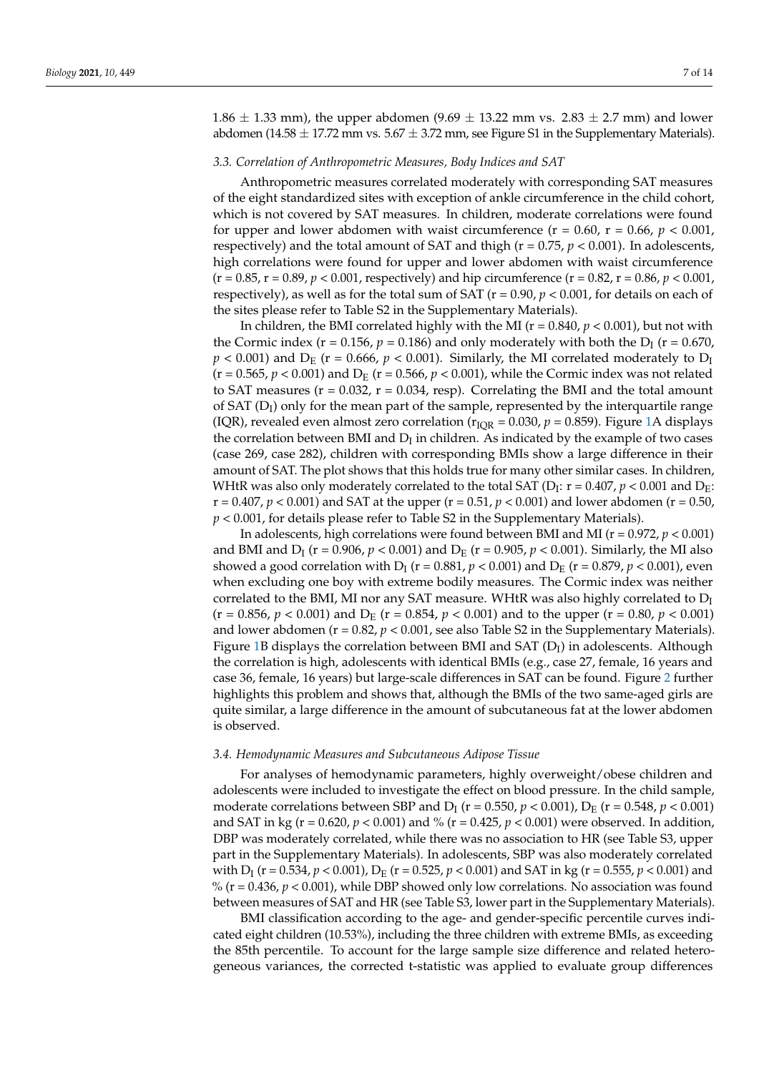$1.86 \pm 1.33$  mm), the upper abdomen (9.69  $\pm$  13.22 mm vs. 2.83  $\pm$  2.7 mm) and lower abdomen (14.58  $\pm$  17.72 mm vs. 5.67  $\pm$  3.72 mm, see Figure S1 in the Supplementary Materials).

#### *3.3. Correlation of Anthropometric Measures, Body Indices and SAT*

Anthropometric measures correlated moderately with corresponding SAT measures of the eight standardized sites with exception of ankle circumference in the child cohort, which is not covered by SAT measures. In children, moderate correlations were found for upper and lower abdomen with waist circumference ( $r = 0.60$ ,  $r = 0.66$ ,  $p < 0.001$ , respectively) and the total amount of SAT and thigh ( $r = 0.75$ ,  $p < 0.001$ ). In adolescents, high correlations were found for upper and lower abdomen with waist circumference  $(r = 0.85, r = 0.89, p < 0.001$ , respectively) and hip circumference  $(r = 0.82, r = 0.86, p < 0.001$ , respectively), as well as for the total sum of SAT ( $r = 0.90$ ,  $p < 0.001$ , for details on each of the sites please refer to Table S2 in the Supplementary Materials).

In children, the BMI correlated highly with the MI ( $r = 0.840$ ,  $p < 0.001$ ), but not with the Cormic index ( $r = 0.156$ ,  $p = 0.186$ ) and only moderately with both the  $D<sub>I</sub>$  ( $r = 0.670$ )  $p < 0.001$ ) and  $D_E$  (r = 0.666,  $p < 0.001$ ). Similarly, the MI correlated moderately to  $D_I$  $(r = 0.565, p < 0.001)$  and  $D_E$  ( $r = 0.566, p < 0.001$ ), while the Cormic index was not related to SAT measures ( $r = 0.032$ ,  $r = 0.034$ , resp). Correlating the BMI and the total amount of SAT  $(D_l)$  only for the mean part of the sample, represented by the interquartile range (IQR), revealed even almost zero correlation ( $r_{IQR} = 0.030$ ,  $p = 0.859$ ). Figure [1A](#page-7-0) displays the correlation between BMI and  $D_I$  in children. As indicated by the example of two cases (case 269, case 282), children with corresponding BMIs show a large difference in their amount of SAT. The plot shows that this holds true for many other similar cases. In children, WHtR was also only moderately correlated to the total SAT (D<sub>I</sub>:  $r$  = 0.407,  $p$  < 0.001 and D<sub>E</sub>:  $r = 0.407$ ,  $p < 0.001$ ) and SAT at the upper ( $r = 0.51$ ,  $p < 0.001$ ) and lower abdomen ( $r = 0.50$ , *p* < 0.001, for details please refer to Table S2 in the Supplementary Materials).

In adolescents, high correlations were found between BMI and MI ( $r = 0.972$ ,  $p < 0.001$ ) and BMI and  $D_{\rm I}$  (r = 0.906,  $p < 0.001$ ) and  $D_{\rm E}$  (r = 0.905,  $p < 0.001$ ). Similarly, the MI also showed a good correlation with  $D_I$  (r = 0.881*, p* < 0.001) and  $D_E$  (r = 0.879*, p* < 0.001)*,* even when excluding one boy with extreme bodily measures. The Cormic index was neither correlated to the BMI, MI nor any SAT measure. WHtR was also highly correlated to  $D_I$  $(r = 0.856, p < 0.001)$  and  $D_E$   $(r = 0.854, p < 0.001)$  and to the upper  $(r = 0.80, p < 0.001)$ and lower abdomen ( $r = 0.82$ ,  $p < 0.001$ , see also Table S2 in the Supplementary Materials). Figure [1B](#page-7-0) displays the correlation between BMI and SAT  $(D_I)$  in adolescents. Although the correlation is high, adolescents with identical BMIs (e.g., case 27, female, 16 years and case 36, female, 16 years) but large-scale differences in SAT can be found. Figure [2](#page-8-0) further highlights this problem and shows that, although the BMIs of the two same-aged girls are quite similar, a large difference in the amount of subcutaneous fat at the lower abdomen is observed.

#### *3.4. Hemodynamic Measures and Subcutaneous Adipose Tissue*

For analyses of hemodynamic parameters, highly overweight/obese children and adolescents were included to investigate the effect on blood pressure. In the child sample, moderate correlations between SBP and  $D_I$  (r = 0.550*, p* < 0.001),  $D_E$  (r = 0.548*, p* < 0.001) and SAT in kg ( $r = 0.620$ ,  $p < 0.001$ ) and % ( $r = 0.425$ ,  $p < 0.001$ ) were observed. In addition, DBP was moderately correlated, while there was no association to HR (see Table S3, upper part in the Supplementary Materials). In adolescents, SBP was also moderately correlated with D<sub>I</sub> (r = 0.534*, p* < 0.001), D<sub>E</sub> (r = 0.525*, p* < 0.001) and SAT in kg (r = 0.555*, p* < 0.001) and % ( $r = 0.436$ ,  $p < 0.001$ ), while DBP showed only low correlations. No association was found between measures of SAT and HR (see Table S3, lower part in the Supplementary Materials).

BMI classification according to the age- and gender-specific percentile curves indicated eight children (10.53%), including the three children with extreme BMIs, as exceeding the 85th percentile. To account for the large sample size difference and related heterogeneous variances, the corrected t-statistic was applied to evaluate group differences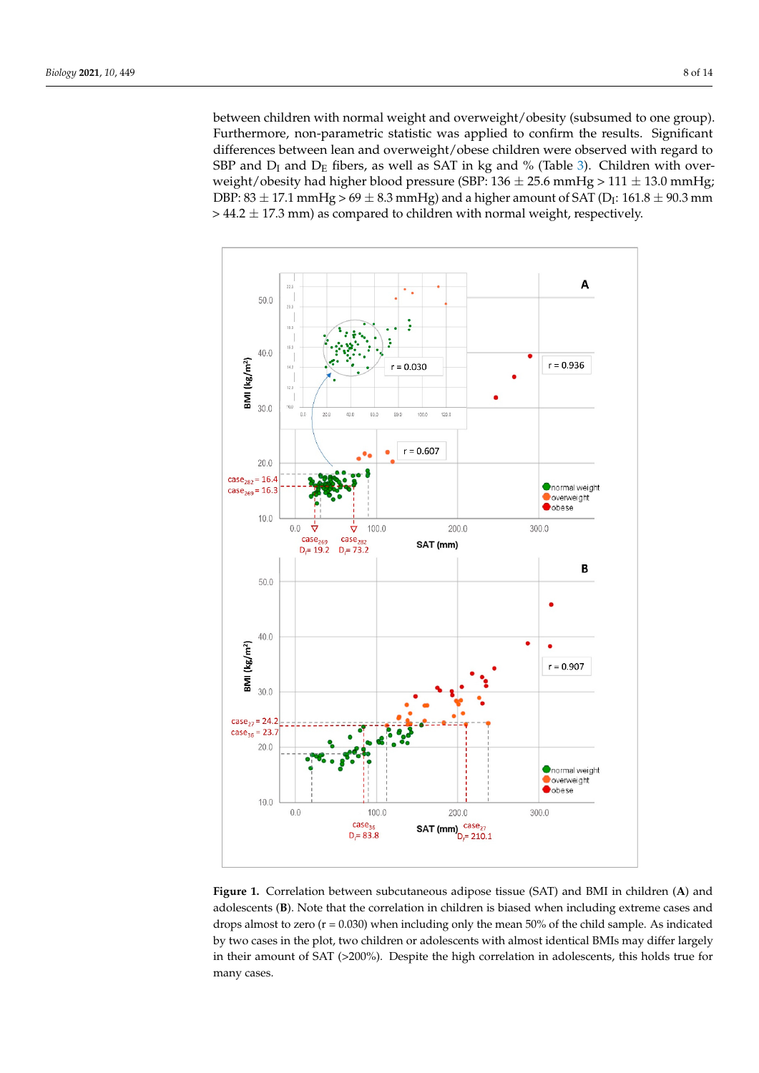between children with normal weight and overweight/obesity (subsumed to one group). Furthermore, non-parametric statistic was applied to confirm the results. Significant differences between lean and overweight/obese children were observed with regard to SBP and  $D_I$  and  $D_E$  fibers, as well as SAT in kg and % (Table [3\)](#page-8-1). Children with overweight/obesity had higher blood pressure (SBP:  $136 \pm 25.6$  mmHg >  $111 \pm 13.0$  mmHg; DBP: 83  $\pm$  17.1 mmHg > 69  $\pm$  8.3 mmHg) and a higher amount of SAT (D<sub>I</sub>: 161.8  $\pm$  90.3 mm  $>$  44.2  $\pm$  17.3 mm) as compared to children with normal weight, respectively.

<span id="page-7-0"></span>

**Figure 1.** Correlation between subcutaneous adipose tissue (SAT) and BMI in children (**A**) and **Figure 1.** Correlation between subcutaneous adipose tissue (SAT) and BMI in children (**A**) and adolescents (**B**). Note that the correlation in children is biased when including extreme cases and adolescents (**B**). Note that the correlation in children is biased when including extreme cases and  $d_{\rm{max}}$  and  $d_{\rm{max}}$  are mean  $d_{\rm{max}}$  including only the mean  $\sigma$  mean  $\sigma$  and  $d_{\rm{max}}$  of the child sample. As indicated the child sample. As indicated with  $d_{\rm{max}}$ drops almost to zero (r = 0.030) when including only the mean 50% of the child sample. As indicated  $\frac{1}{2}$ by two cases in the plot, two children or adolescents with almost identical BMIs may differ largely in their amount of SAT ( $>$ 200%). Despite the high correlation in adolescents, this holds true for many cases.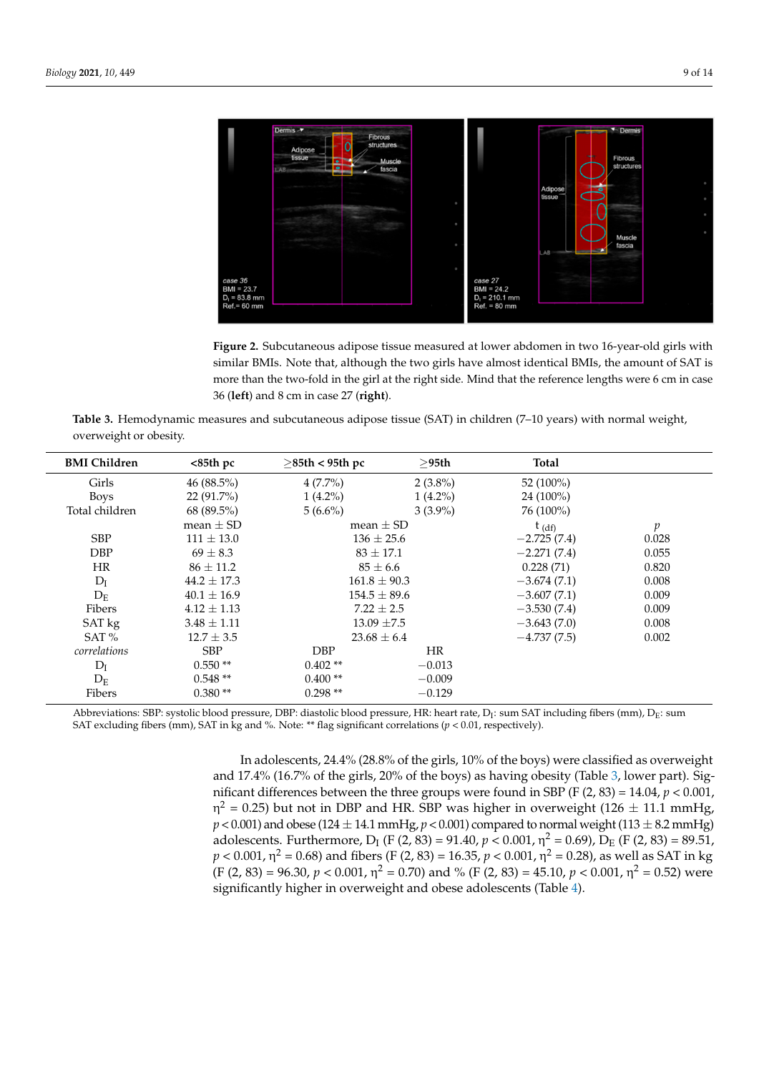<span id="page-8-0"></span>

**Figure 2.** Subcutaneous adipose tissue measured at lower abdomen in two 16-year-old girls with **Figure 2.** Subcutaneous adipose tissue measured at lower abdomen in two 16-year-old girls with similar BMIs. Note that, although the two girls have almost identical BMIs, the amount of  $\frac{1}{\sqrt{1-x^2}}$ similar BMIs. Note that, although the two girls have almost identical BMIs, the amount of SAT is more than the two-fold in the girl at the right side. Mind that the reference lengths were 6 cm in case 36 (**left**) and 8 cm in case 27 (**right**).

<span id="page-8-1"></span>**Table 3.** Hemodynamic measures and subcutaneous adipose tissue (SAT) in children (7–10 years) with normal weight, overweight or obesity.

| <b>BMI</b> Children | $85thpc$        | $\geq$ 85th < 95th pc | >95th          | <b>Total</b>  |                  |
|---------------------|-----------------|-----------------------|----------------|---------------|------------------|
| Girls               | 46 $(88.5\%)$   | $4(7.7\%)$            | $2(3.8\%)$     | 52 (100%)     |                  |
| <b>Boys</b>         | $22(91.7\%)$    | $1(4.2\%)$            | $1(4.2\%)$     | $24(100\%)$   |                  |
| Total children      | $68(89.5\%)$    | $5(6.6\%)$            | $3(3.9\%)$     | 76 (100%)     |                  |
|                     | mean $\pm$ SD   | mean $\pm$ SD         |                | $t_{(df)}$    | $\boldsymbol{p}$ |
| <b>SBP</b>          | $111 \pm 13.0$  |                       | $136 \pm 25.6$ |               | 0.028            |
| <b>DBP</b>          | $69 + 8.3$      | $83 \pm 17.1$         |                | $-2.271(7.4)$ | 0.055            |
| <b>HR</b>           | $86 \pm 11.2$   |                       | $85 \pm 6.6$   |               | 0.820            |
| $D_I$               | $44.2 \pm 17.3$ | $161.8 \pm 90.3$      |                | $-3.674(7.1)$ | 0.008            |
| $D_{\rm E}$         | $40.1 \pm 16.9$ | $154.5 \pm 89.6$      |                | $-3.607(7.1)$ | 0.009            |
| Fibers              | $4.12 + 1.13$   | $7.22 + 2.5$          |                | $-3.530(7.4)$ | 0.009            |
| SAT kg              | $3.48 \pm 1.11$ | $13.09 \pm 7.5$       |                | $-3.643(7.0)$ | 0.008            |
| SAT %               | $12.7 \pm 3.5$  | $23.68 \pm 6.4$       |                | $-4.737(7.5)$ | 0.002            |
| correlations        | <b>SBP</b>      | DBP                   | <b>HR</b>      |               |                  |
| $D_I$               | $0.550**$       | $0.402**$             | $-0.013$       |               |                  |
| $D_{E}$             | $0.548**$       | $0.400**$             | $-0.009$       |               |                  |
| Fibers              | $0.380**$       | $0.298**$             | $-0.129$       |               |                  |

Abbreviations: SBP: systolic blood pressure, DBP: diastolic blood pressure, HR: heart rate, D<sub>I</sub>: sum SAT including fibers (mm), D<sub>E</sub>: sum SAT excluding fibers (mm), SAT in kg and %. Note: \*\* flag significant correlations ( $p < 0.01$ , respectively).

> In adolescents, 24.4% (28.8% of the girls, 10% of the boys) were classified as overweight and 17.4% (16.7% of the girls, 20% of the boys) as having obesity (Table [3,](#page-8-1) lower part). Significant differences between the three groups were found in SBP (F (2, 83) = 14.04, *p* < 0.001, η<sup>2</sup> = 0.25) but not in DBP and HR. SBP was higher in overweight (126  $\pm$  11.1 mmHg,  $p < 0.001$ ) and obese (124  $\pm$  14.1 mmHg,  $p < 0.001$ ) compared to normal weight (113  $\pm$  8.2 mmHg) adolescents. Furthermore, D<sub>I</sub> (F (2, 83) = 91.40,  $p < 0.001$ ,  $\eta^2 = 0.69$ ), D<sub>E</sub> (F (2, 83) = 89.51,  $p$  < 0.001, η<sup>2</sup> = 0.68) and fibers (F (2, 83) = 16.35,  $p$  < 0.001, η<sup>2</sup> = 0.28), as well as SAT in kg  $(F (2, 83) = 96.30, p < 0.001, \eta^2 = 0.70)$  and %  $(F (2, 83) = 45.10, p < 0.001, \eta^2 = 0.52)$  were significantly higher in overweight and obese adolescents (Table [4\)](#page-9-0).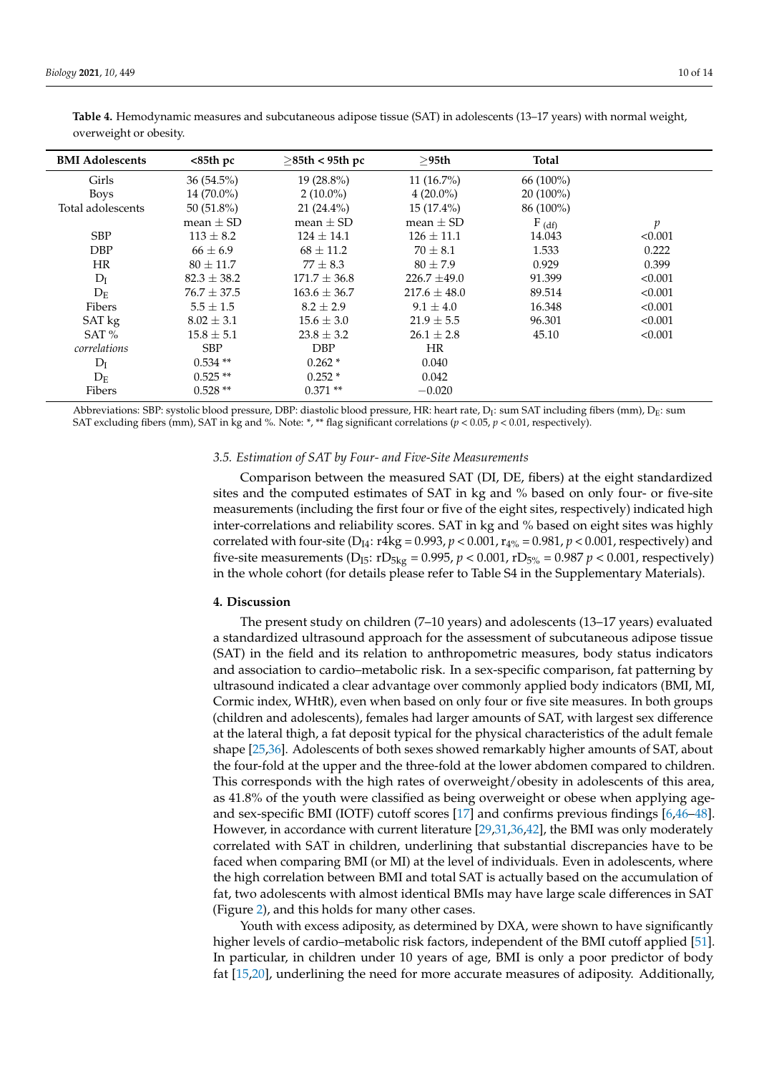| <b>BMI Adolescents</b> | $85thpc$        | $\geq$ 85th < 95th pc | >95th            | <b>Total</b> |               |
|------------------------|-----------------|-----------------------|------------------|--------------|---------------|
| Girls                  | $36(54.5\%)$    | $19(28.8\%)$          | $11(16.7\%)$     | 66 (100%)    |               |
| <b>Boys</b>            | 14 (70.0%)      | $2(10.0\%)$           | $4(20.0\%)$      | $20(100\%)$  |               |
| Total adolescents      | 50 $(51.8\%)$   | $21(24.4\%)$          | $15(17.4\%)$     | 86 (100%)    |               |
|                        | mean $\pm$ SD   | mean $\pm$ SD         | mean $\pm$ SD    | $F_{(df)}$   | $\mathcal{D}$ |
| <b>SBP</b>             | $113 \pm 8.2$   | $124 \pm 14.1$        | $126 \pm 11.1$   | 14.043       | < 0.001       |
| <b>DBP</b>             | $66 \pm 6.9$    | $68 \pm 11.2$         | $70 \pm 8.1$     | 1.533        | 0.222         |
| <b>HR</b>              | $80 \pm 11.7$   | $77 \pm 8.3$          | $80 + 7.9$       | 0.929        | 0.399         |
| $D_I$                  | $82.3 \pm 38.2$ | $171.7 \pm 36.8$      | $226.7 \pm 49.0$ | 91.399       | < 0.001       |
| $D_{E}$                | $76.7 \pm 37.5$ | $163.6 \pm 36.7$      | $217.6 \pm 48.0$ | 89.514       | < 0.001       |
| Fibers                 | $5.5 \pm 1.5$   | $8.2 \pm 2.9$         | $9.1 \pm 4.0$    | 16.348       | < 0.001       |
| SAT kg                 | $8.02 \pm 3.1$  | $15.6 \pm 3.0$        | $21.9 \pm 5.5$   | 96.301       | < 0.001       |
| SAT $%$                | $15.8 \pm 5.1$  | $23.8 \pm 3.2$        | $26.1 \pm 2.8$   | 45.10        | < 0.001       |
| correlations           | <b>SBP</b>      | <b>DBP</b>            | <b>HR</b>        |              |               |
| $D_I$                  | $0.534**$       | $0.262*$              | 0.040            |              |               |
| $D_{E}$                | $0.525**$       | $0.252*$              | 0.042            |              |               |
| Fibers                 | $0.528**$       | $0.371**$             | $-0.020$         |              |               |

<span id="page-9-0"></span>**Table 4.** Hemodynamic measures and subcutaneous adipose tissue (SAT) in adolescents (13–17 years) with normal weight, overweight or obesity.

Abbreviations: SBP: systolic blood pressure, DBP: diastolic blood pressure, HR: heart rate, D<sub>I</sub>: sum SAT including fibers (mm), D<sub>E</sub>: sum SAT excluding fibers (mm), SAT in kg and %. Note: \*, \*\* flag significant correlations (*p* < 0.05, *p* < 0.01, respectively).

## *3.5. Estimation of SAT by Four- and Five-Site Measurements*

Comparison between the measured SAT (DI, DE, fibers) at the eight standardized sites and the computed estimates of SAT in kg and % based on only four- or five-site measurements (including the first four or five of the eight sites, respectively) indicated high inter-correlations and reliability scores. SAT in kg and % based on eight sites was highly correlated with four-site ( $D_{I4}$ : r4kg = 0.993,  $p < 0.001$ ,  $r_{4\%} = 0.981$ ,  $p < 0.001$ , respectively) and five-site measurements ( $D_{\text{IS}}$ :  $rD_{\text{5kg}} = 0.995$ ,  $p < 0.001$ ,  $rD_{\text{5%}} = 0.987$   $p < 0.001$ , respectively) in the whole cohort (for details please refer to Table S4 in the Supplementary Materials).

## **4. Discussion**

The present study on children (7–10 years) and adolescents (13–17 years) evaluated a standardized ultrasound approach for the assessment of subcutaneous adipose tissue (SAT) in the field and its relation to anthropometric measures, body status indicators and association to cardio–metabolic risk. In a sex-specific comparison, fat patterning by ultrasound indicated a clear advantage over commonly applied body indicators (BMI, MI, Cormic index, WHtR), even when based on only four or five site measures. In both groups (children and adolescents), females had larger amounts of SAT, with largest sex difference at the lateral thigh, a fat deposit typical for the physical characteristics of the adult female shape [\[25,](#page-12-11)[36\]](#page-12-19). Adolescents of both sexes showed remarkably higher amounts of SAT, about the four-fold at the upper and the three-fold at the lower abdomen compared to children. This corresponds with the high rates of overweight/obesity in adolescents of this area, as 41.8% of the youth were classified as being overweight or obese when applying ageand sex-specific BMI (IOTF) cutoff scores [\[17\]](#page-12-1) and confirms previous findings [\[6,](#page-11-3)[46](#page-13-3)[–48\]](#page-13-6). However, in accordance with current literature [\[29](#page-12-14)[,31,](#page-12-16)[36,](#page-12-19)[42\]](#page-13-7), the BMI was only moderately correlated with SAT in children, underlining that substantial discrepancies have to be faced when comparing BMI (or MI) at the level of individuals. Even in adolescents, where the high correlation between BMI and total SAT is actually based on the accumulation of fat, two adolescents with almost identical BMIs may have large scale differences in SAT (Figure [2\)](#page-8-0), and this holds for many other cases.

Youth with excess adiposity, as determined by DXA, were shown to have significantly higher levels of cardio–metabolic risk factors, independent of the BMI cutoff applied [\[51\]](#page-13-8). In particular, in children under 10 years of age, BMI is only a poor predictor of body fat [\[15](#page-12-22)[,20\]](#page-12-5), underlining the need for more accurate measures of adiposity. Additionally,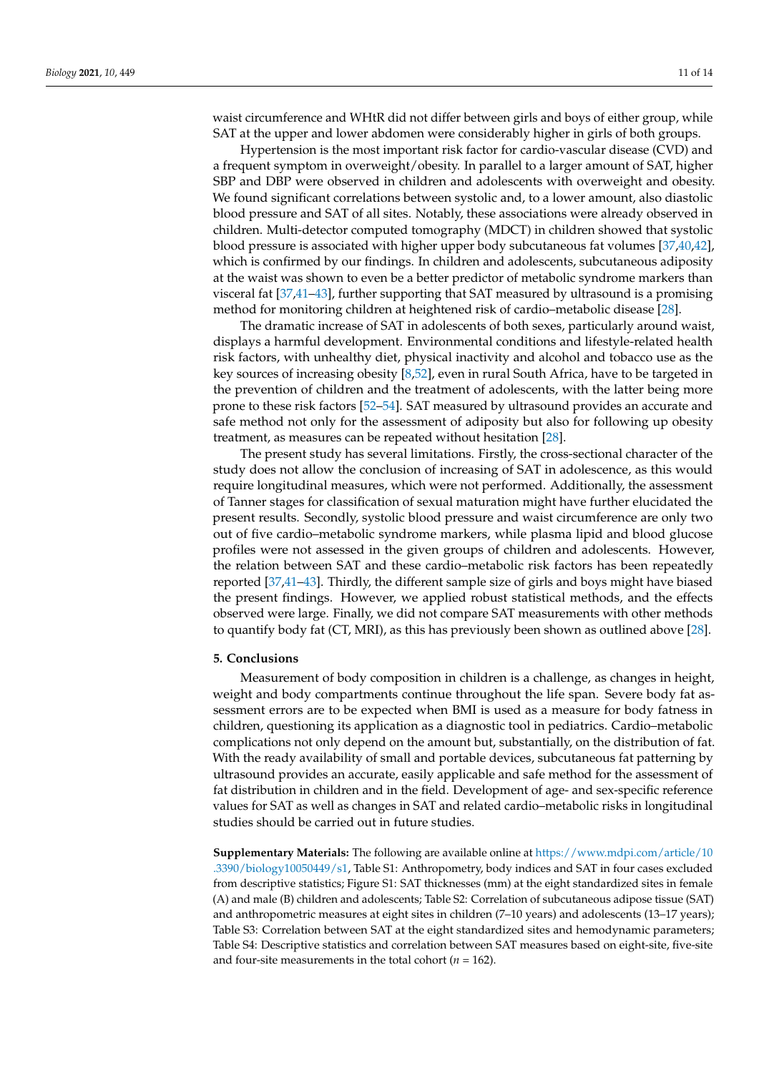waist circumference and WHtR did not differ between girls and boys of either group, while SAT at the upper and lower abdomen were considerably higher in girls of both groups.

Hypertension is the most important risk factor for cardio-vascular disease (CVD) and a frequent symptom in overweight/obesity. In parallel to a larger amount of SAT, higher SBP and DBP were observed in children and adolescents with overweight and obesity. We found significant correlations between systolic and, to a lower amount, also diastolic blood pressure and SAT of all sites. Notably, these associations were already observed in children. Multi-detector computed tomography (MDCT) in children showed that systolic blood pressure is associated with higher upper body subcutaneous fat volumes [\[37](#page-13-0)[,40](#page-13-9)[,42\]](#page-13-7), which is confirmed by our findings. In children and adolescents, subcutaneous adiposity at the waist was shown to even be a better predictor of metabolic syndrome markers than visceral fat [\[37,](#page-13-0)[41](#page-13-2)[–43\]](#page-13-10), further supporting that SAT measured by ultrasound is a promising method for monitoring children at heightened risk of cardio–metabolic disease [\[28\]](#page-12-13).

The dramatic increase of SAT in adolescents of both sexes, particularly around waist, displays a harmful development. Environmental conditions and lifestyle-related health risk factors, with unhealthy diet, physical inactivity and alcohol and tobacco use as the key sources of increasing obesity [\[8](#page-11-5)[,52\]](#page-13-11), even in rural South Africa, have to be targeted in the prevention of children and the treatment of adolescents, with the latter being more prone to these risk factors [\[52](#page-13-11)[–54\]](#page-13-12). SAT measured by ultrasound provides an accurate and safe method not only for the assessment of adiposity but also for following up obesity treatment, as measures can be repeated without hesitation [\[28\]](#page-12-13).

The present study has several limitations. Firstly, the cross-sectional character of the study does not allow the conclusion of increasing of SAT in adolescence, as this would require longitudinal measures, which were not performed. Additionally, the assessment of Tanner stages for classification of sexual maturation might have further elucidated the present results. Secondly, systolic blood pressure and waist circumference are only two out of five cardio–metabolic syndrome markers, while plasma lipid and blood glucose profiles were not assessed in the given groups of children and adolescents. However, the relation between SAT and these cardio–metabolic risk factors has been repeatedly reported [\[37](#page-13-0)[,41](#page-13-2)[–43\]](#page-13-10). Thirdly, the different sample size of girls and boys might have biased the present findings. However, we applied robust statistical methods, and the effects observed were large. Finally, we did not compare SAT measurements with other methods to quantify body fat (CT, MRI), as this has previously been shown as outlined above [\[28\]](#page-12-13).

## **5. Conclusions**

Measurement of body composition in children is a challenge, as changes in height, weight and body compartments continue throughout the life span. Severe body fat assessment errors are to be expected when BMI is used as a measure for body fatness in children, questioning its application as a diagnostic tool in pediatrics. Cardio–metabolic complications not only depend on the amount but, substantially, on the distribution of fat. With the ready availability of small and portable devices, subcutaneous fat patterning by ultrasound provides an accurate, easily applicable and safe method for the assessment of fat distribution in children and in the field. Development of age- and sex-specific reference values for SAT as well as changes in SAT and related cardio–metabolic risks in longitudinal studies should be carried out in future studies.

**Supplementary Materials:** The following are available online at [https://www.mdpi.com/article/10](https://www.mdpi.com/article/10.3390/biology10050449/s1) [.3390/biology10050449/s1,](https://www.mdpi.com/article/10.3390/biology10050449/s1) Table S1: Anthropometry, body indices and SAT in four cases excluded from descriptive statistics; Figure S1: SAT thicknesses (mm) at the eight standardized sites in female (A) and male (B) children and adolescents; Table S2: Correlation of subcutaneous adipose tissue (SAT) and anthropometric measures at eight sites in children (7–10 years) and adolescents (13–17 years); Table S3: Correlation between SAT at the eight standardized sites and hemodynamic parameters; Table S4: Descriptive statistics and correlation between SAT measures based on eight-site, five-site and four-site measurements in the total cohort ( $n = 162$ ).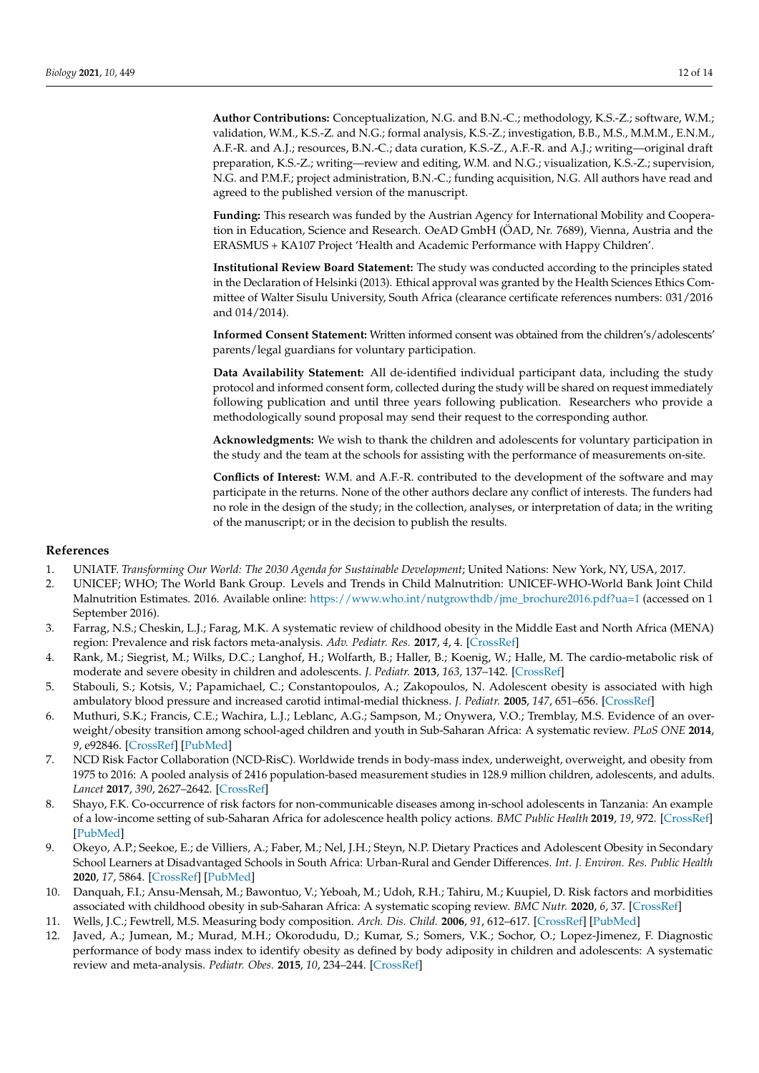**Author Contributions:** Conceptualization, N.G. and B.N.-C.; methodology, K.S.-Z.; software, W.M.; validation, W.M., K.S.-Z. and N.G.; formal analysis, K.S.-Z.; investigation, B.B., M.S., M.M.M., E.N.M., A.F.-R. and A.J.; resources, B.N.-C.; data curation, K.S.-Z., A.F.-R. and A.J.; writing—original draft preparation, K.S.-Z.; writing—review and editing, W.M. and N.G.; visualization, K.S.-Z.; supervision, N.G. and P.M.F.; project administration, B.N.-C.; funding acquisition, N.G. All authors have read and agreed to the published version of the manuscript.

**Funding:** This research was funded by the Austrian Agency for International Mobility and Cooperation in Education, Science and Research. OeAD GmbH (ÖAD, Nr. 7689), Vienna, Austria and the ERASMUS + KA107 Project 'Health and Academic Performance with Happy Children'.

**Institutional Review Board Statement:** The study was conducted according to the principles stated in the Declaration of Helsinki (2013). Ethical approval was granted by the Health Sciences Ethics Committee of Walter Sisulu University, South Africa (clearance certificate references numbers: 031/2016 and 014/2014).

**Informed Consent Statement:** Written informed consent was obtained from the children's/adolescents' parents/legal guardians for voluntary participation.

**Data Availability Statement:** All de-identified individual participant data, including the study protocol and informed consent form, collected during the study will be shared on request immediately following publication and until three years following publication. Researchers who provide a methodologically sound proposal may send their request to the corresponding author.

**Acknowledgments:** We wish to thank the children and adolescents for voluntary participation in the study and the team at the schools for assisting with the performance of measurements on-site.

**Conflicts of Interest:** W.M. and A.F.-R. contributed to the development of the software and may participate in the returns. None of the other authors declare any conflict of interests. The funders had no role in the design of the study; in the collection, analyses, or interpretation of data; in the writing of the manuscript; or in the decision to publish the results.

# **References**

- <span id="page-11-0"></span>1. UNIATF. *Transforming Our World: The 2030 Agenda for Sustainable Development*; United Nations: New York, NY, USA, 2017.
- <span id="page-11-1"></span>2. UNICEF; WHO; The World Bank Group. Levels and Trends in Child Malnutrition: UNICEF-WHO-World Bank Joint Child Malnutrition Estimates. 2016. Available online: [https://www.who.int/nutgrowthdb/jme\\_brochure2016.pdf?ua=1](https://www.who.int/nutgrowthdb/jme_brochure2016.pdf?ua=1) (accessed on 1 September 2016).
- 3. Farrag, N.S.; Cheskin, L.J.; Farag, M.K. A systematic review of childhood obesity in the Middle East and North Africa (MENA) region: Prevalence and risk factors meta-analysis. *Adv. Pediatr. Res.* **2017**, *4*, 4. [\[CrossRef\]](http://doi.org/10.12715/apr.2017.4.8)
- 4. Rank, M.; Siegrist, M.; Wilks, D.C.; Langhof, H.; Wolfarth, B.; Haller, B.; Koenig, W.; Halle, M. The cardio-metabolic risk of moderate and severe obesity in children and adolescents. *J. Pediatr.* **2013**, *163*, 137–142. [\[CrossRef\]](http://doi.org/10.1016/j.jpeds.2013.01.020)
- <span id="page-11-2"></span>5. Stabouli, S.; Kotsis, V.; Papamichael, C.; Constantopoulos, A.; Zakopoulos, N. Adolescent obesity is associated with high ambulatory blood pressure and increased carotid intimal-medial thickness. *J. Pediatr.* **2005**, *147*, 651–656. [\[CrossRef\]](http://doi.org/10.1016/j.jpeds.2005.06.008)
- <span id="page-11-3"></span>6. Muthuri, S.K.; Francis, C.E.; Wachira, L.J.; Leblanc, A.G.; Sampson, M.; Onywera, V.O.; Tremblay, M.S. Evidence of an overweight/obesity transition among school-aged children and youth in Sub-Saharan Africa: A systematic review. *PLoS ONE* **2014**, *9*, e92846. [\[CrossRef\]](http://doi.org/10.1371/journal.pone.0092846) [\[PubMed\]](http://www.ncbi.nlm.nih.gov/pubmed/24676350)
- <span id="page-11-4"></span>7. NCD Risk Factor Collaboration (NCD-RisC). Worldwide trends in body-mass index, underweight, overweight, and obesity from 1975 to 2016: A pooled analysis of 2416 population-based measurement studies in 128.9 million children, adolescents, and adults. *Lancet* **2017**, *390*, 2627–2642. [\[CrossRef\]](http://doi.org/10.1016/S0140-6736(17)32129-3)
- <span id="page-11-5"></span>8. Shayo, F.K. Co-occurrence of risk factors for non-communicable diseases among in-school adolescents in Tanzania: An example of a low-income setting of sub-Saharan Africa for adolescence health policy actions. *BMC Public Health* **2019**, *19*, 972. [\[CrossRef\]](http://doi.org/10.1186/s12889-019-7320-1) [\[PubMed\]](http://www.ncbi.nlm.nih.gov/pubmed/31331303)
- 9. Okeyo, A.P.; Seekoe, E.; de Villiers, A.; Faber, M.; Nel, J.H.; Steyn, N.P. Dietary Practices and Adolescent Obesity in Secondary School Learners at Disadvantaged Schools in South Africa: Urban-Rural and Gender Differences. *Int. J. Environ. Res. Public Health* **2020**, *17*, 5864. [\[CrossRef\]](http://doi.org/10.3390/ijerph17165864) [\[PubMed\]](http://www.ncbi.nlm.nih.gov/pubmed/32823510)
- <span id="page-11-6"></span>10. Danquah, F.I.; Ansu-Mensah, M.; Bawontuo, V.; Yeboah, M.; Udoh, R.H.; Tahiru, M.; Kuupiel, D. Risk factors and morbidities associated with childhood obesity in sub-Saharan Africa: A systematic scoping review. *BMC Nutr.* **2020**, *6*, 37. [\[CrossRef\]](http://doi.org/10.1186/s40795-020-00364-5)
- <span id="page-11-7"></span>11. Wells, J.C.; Fewtrell, M.S. Measuring body composition. *Arch. Dis. Child.* **2006**, *91*, 612–617. [\[CrossRef\]](http://doi.org/10.1136/adc.2005.085522) [\[PubMed\]](http://www.ncbi.nlm.nih.gov/pubmed/16790722)
- <span id="page-11-8"></span>12. Javed, A.; Jumean, M.; Murad, M.H.; Okorodudu, D.; Kumar, S.; Somers, V.K.; Sochor, O.; Lopez-Jimenez, F. Diagnostic performance of body mass index to identify obesity as defined by body adiposity in children and adolescents: A systematic review and meta-analysis. *Pediatr. Obes.* **2015**, *10*, 234–244. [\[CrossRef\]](http://doi.org/10.1111/ijpo.242)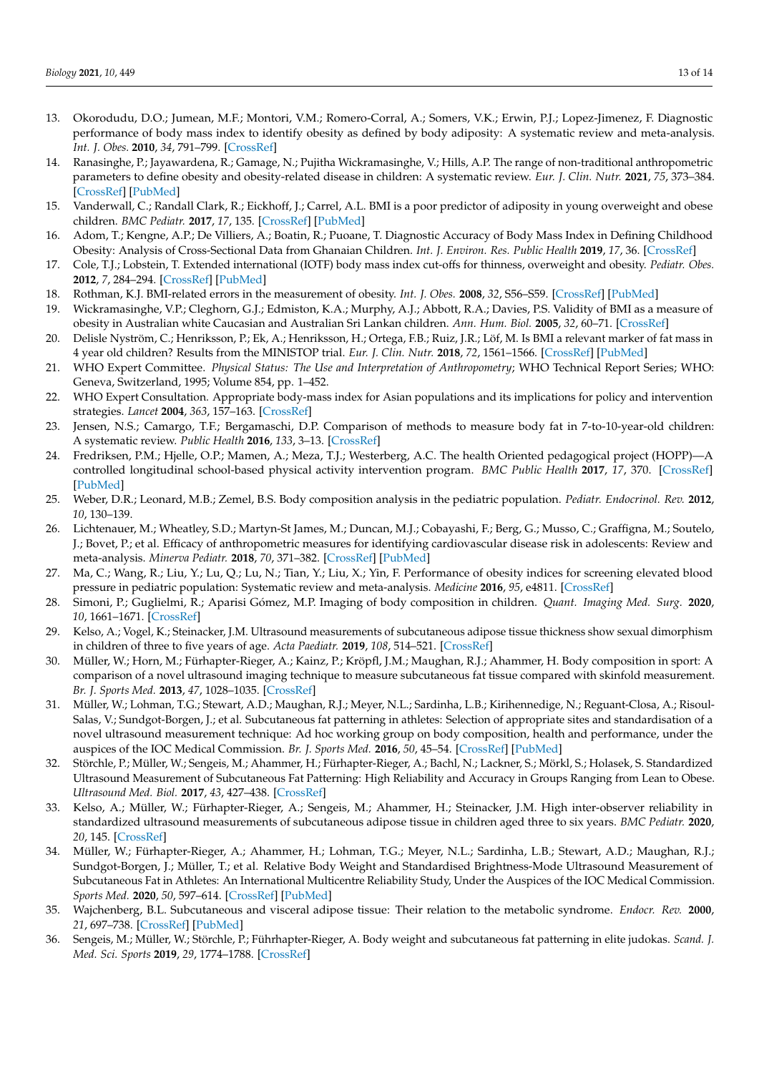- <span id="page-12-2"></span>13. Okorodudu, D.O.; Jumean, M.F.; Montori, V.M.; Romero-Corral, A.; Somers, V.K.; Erwin, P.J.; Lopez-Jimenez, F. Diagnostic performance of body mass index to identify obesity as defined by body adiposity: A systematic review and meta-analysis. *Int. J. Obes.* **2010**, *34*, 791–799. [\[CrossRef\]](http://doi.org/10.1038/ijo.2010.5)
- <span id="page-12-10"></span>14. Ranasinghe, P.; Jayawardena, R.; Gamage, N.; Pujitha Wickramasinghe, V.; Hills, A.P. The range of non-traditional anthropometric parameters to define obesity and obesity-related disease in children: A systematic review. *Eur. J. Clin. Nutr.* **2021**, *75*, 373–384. [\[CrossRef\]](http://doi.org/10.1038/s41430-020-00715-2) [\[PubMed\]](http://www.ncbi.nlm.nih.gov/pubmed/32801306)
- <span id="page-12-22"></span>15. Vanderwall, C.; Randall Clark, R.; Eickhoff, J.; Carrel, A.L. BMI is a poor predictor of adiposity in young overweight and obese children. *BMC Pediatr.* **2017**, *17*, 135. [\[CrossRef\]](http://doi.org/10.1186/s12887-017-0891-z) [\[PubMed\]](http://www.ncbi.nlm.nih.gov/pubmed/28577356)
- <span id="page-12-0"></span>16. Adom, T.; Kengne, A.P.; De Villiers, A.; Boatin, R.; Puoane, T. Diagnostic Accuracy of Body Mass Index in Defining Childhood Obesity: Analysis of Cross-Sectional Data from Ghanaian Children. *Int. J. Environ. Res. Public Health* **2019**, *17*, 36. [\[CrossRef\]](http://doi.org/10.3390/ijerph17010036)
- <span id="page-12-1"></span>17. Cole, T.J.; Lobstein, T. Extended international (IOTF) body mass index cut-offs for thinness, overweight and obesity. *Pediatr. Obes.* **2012**, *7*, 284–294. [\[CrossRef\]](http://doi.org/10.1111/j.2047-6310.2012.00064.x) [\[PubMed\]](http://www.ncbi.nlm.nih.gov/pubmed/22715120)
- <span id="page-12-3"></span>18. Rothman, K.J. BMI-related errors in the measurement of obesity. *Int. J. Obes.* **2008**, *32*, S56–S59. [\[CrossRef\]](http://doi.org/10.1038/ijo.2008.87) [\[PubMed\]](http://www.ncbi.nlm.nih.gov/pubmed/18695655)
- <span id="page-12-4"></span>19. Wickramasinghe, V.P.; Cleghorn, G.J.; Edmiston, K.A.; Murphy, A.J.; Abbott, R.A.; Davies, P.S. Validity of BMI as a measure of obesity in Australian white Caucasian and Australian Sri Lankan children. *Ann. Hum. Biol.* **2005**, *32*, 60–71. [\[CrossRef\]](http://doi.org/10.1080/03014460400027805)
- <span id="page-12-5"></span>20. Delisle Nyström, C.; Henriksson, P.; Ek, A.; Henriksson, H.; Ortega, F.B.; Ruiz, J.R.; Löf, M. Is BMI a relevant marker of fat mass in 4 year old children? Results from the MINISTOP trial. *Eur. J. Clin. Nutr.* **2018**, *72*, 1561–1566. [\[CrossRef\]](http://doi.org/10.1038/s41430-018-0133-y) [\[PubMed\]](http://www.ncbi.nlm.nih.gov/pubmed/29559723)
- <span id="page-12-6"></span>21. WHO Expert Committee. *Physical Status: The Use and Interpretation of Anthropometry*; WHO Technical Report Series; WHO: Geneva, Switzerland, 1995; Volume 854, pp. 1–452.
- <span id="page-12-7"></span>22. WHO Expert Consultation. Appropriate body-mass index for Asian populations and its implications for policy and intervention strategies. *Lancet* **2004**, *363*, 157–163. [\[CrossRef\]](http://doi.org/10.1016/S0140-6736(03)15268-3)
- <span id="page-12-8"></span>23. Jensen, N.S.; Camargo, T.F.; Bergamaschi, D.P. Comparison of methods to measure body fat in 7-to-10-year-old children: A systematic review. *Public Health* **2016**, *133*, 3–13. [\[CrossRef\]](http://doi.org/10.1016/j.puhe.2015.11.025)
- <span id="page-12-9"></span>24. Fredriksen, P.M.; Hjelle, O.P.; Mamen, A.; Meza, T.J.; Westerberg, A.C. The health Oriented pedagogical project (HOPP)—A controlled longitudinal school-based physical activity intervention program. *BMC Public Health* **2017**, *17*, 370. [\[CrossRef\]](http://doi.org/10.1186/s12889-017-4282-z) [\[PubMed\]](http://www.ncbi.nlm.nih.gov/pubmed/28454531)
- <span id="page-12-11"></span>25. Weber, D.R.; Leonard, M.B.; Zemel, B.S. Body composition analysis in the pediatric population. *Pediatr. Endocrinol. Rev.* **2012**, *10*, 130–139.
- 26. Lichtenauer, M.; Wheatley, S.D.; Martyn-St James, M.; Duncan, M.J.; Cobayashi, F.; Berg, G.; Musso, C.; Graffigna, M.; Soutelo, J.; Bovet, P.; et al. Efficacy of anthropometric measures for identifying cardiovascular disease risk in adolescents: Review and meta-analysis. *Minerva Pediatr.* **2018**, *70*, 371–382. [\[CrossRef\]](http://doi.org/10.23736/s0026-4946.18.05175-7) [\[PubMed\]](http://www.ncbi.nlm.nih.gov/pubmed/29651834)
- <span id="page-12-12"></span>27. Ma, C.; Wang, R.; Liu, Y.; Lu, Q.; Lu, N.; Tian, Y.; Liu, X.; Yin, F. Performance of obesity indices for screening elevated blood pressure in pediatric population: Systematic review and meta-analysis. *Medicine* **2016**, *95*, e4811. [\[CrossRef\]](http://doi.org/10.1097/MD.0000000000004811)
- <span id="page-12-13"></span>28. Simoni, P.; Guglielmi, R.; Aparisi Gómez, M.P. Imaging of body composition in children. *Quant. Imaging Med. Surg.* **2020**, *10*, 1661–1671. [\[CrossRef\]](http://doi.org/10.21037/qims.2020.04.06)
- <span id="page-12-14"></span>29. Kelso, A.; Vogel, K.; Steinacker, J.M. Ultrasound measurements of subcutaneous adipose tissue thickness show sexual dimorphism in children of three to five years of age. *Acta Paediatr.* **2019**, *108*, 514–521. [\[CrossRef\]](http://doi.org/10.1111/apa.14496)
- <span id="page-12-15"></span>30. Müller, W.; Horn, M.; Fürhapter-Rieger, A.; Kainz, P.; Kröpfl, J.M.; Maughan, R.J.; Ahammer, H. Body composition in sport: A comparison of a novel ultrasound imaging technique to measure subcutaneous fat tissue compared with skinfold measurement. *Br. J. Sports Med.* **2013**, *47*, 1028–1035. [\[CrossRef\]](http://doi.org/10.1136/bjsports-2013-092232)
- <span id="page-12-16"></span>31. Müller, W.; Lohman, T.G.; Stewart, A.D.; Maughan, R.J.; Meyer, N.L.; Sardinha, L.B.; Kirihennedige, N.; Reguant-Closa, A.; Risoul-Salas, V.; Sundgot-Borgen, J.; et al. Subcutaneous fat patterning in athletes: Selection of appropriate sites and standardisation of a novel ultrasound measurement technique: Ad hoc working group on body composition, health and performance, under the auspices of the IOC Medical Commission. *Br. J. Sports Med.* **2016**, *50*, 45–54. [\[CrossRef\]](http://doi.org/10.1136/bjsports-2015-095641) [\[PubMed\]](http://www.ncbi.nlm.nih.gov/pubmed/26702017)
- <span id="page-12-20"></span>32. Störchle, P.; Müller, W.; Sengeis, M.; Ahammer, H.; Fürhapter-Rieger, A.; Bachl, N.; Lackner, S.; Mörkl, S.; Holasek, S. Standardized Ultrasound Measurement of Subcutaneous Fat Patterning: High Reliability and Accuracy in Groups Ranging from Lean to Obese. *Ultrasound Med. Biol.* **2017**, *43*, 427–438. [\[CrossRef\]](http://doi.org/10.1016/j.ultrasmedbio.2016.09.014)
- <span id="page-12-21"></span>33. Kelso, A.; Müller, W.; Fürhapter-Rieger, A.; Sengeis, M.; Ahammer, H.; Steinacker, J.M. High inter-observer reliability in standardized ultrasound measurements of subcutaneous adipose tissue in children aged three to six years. *BMC Pediatr.* **2020**, *20*, 145. [\[CrossRef\]](http://doi.org/10.1186/s12887-020-02044-6)
- <span id="page-12-18"></span>34. Müller, W.; Fürhapter-Rieger, A.; Ahammer, H.; Lohman, T.G.; Meyer, N.L.; Sardinha, L.B.; Stewart, A.D.; Maughan, R.J.; Sundgot-Borgen, J.; Müller, T.; et al. Relative Body Weight and Standardised Brightness-Mode Ultrasound Measurement of Subcutaneous Fat in Athletes: An International Multicentre Reliability Study, Under the Auspices of the IOC Medical Commission. *Sports Med.* **2020**, *50*, 597–614. [\[CrossRef\]](http://doi.org/10.1007/s40279-019-01192-9) [\[PubMed\]](http://www.ncbi.nlm.nih.gov/pubmed/31571156)
- <span id="page-12-17"></span>35. Wajchenberg, B.L. Subcutaneous and visceral adipose tissue: Their relation to the metabolic syndrome. *Endocr. Rev.* **2000**, *21*, 697–738. [\[CrossRef\]](http://doi.org/10.1210/edrv.21.6.0415) [\[PubMed\]](http://www.ncbi.nlm.nih.gov/pubmed/11133069)
- <span id="page-12-19"></span>36. Sengeis, M.; Müller, W.; Störchle, P.; Führhapter-Rieger, A. Body weight and subcutaneous fat patterning in elite judokas. *Scand. J. Med. Sci. Sports* **2019**, *29*, 1774–1788. [\[CrossRef\]](http://doi.org/10.1111/sms.13508)